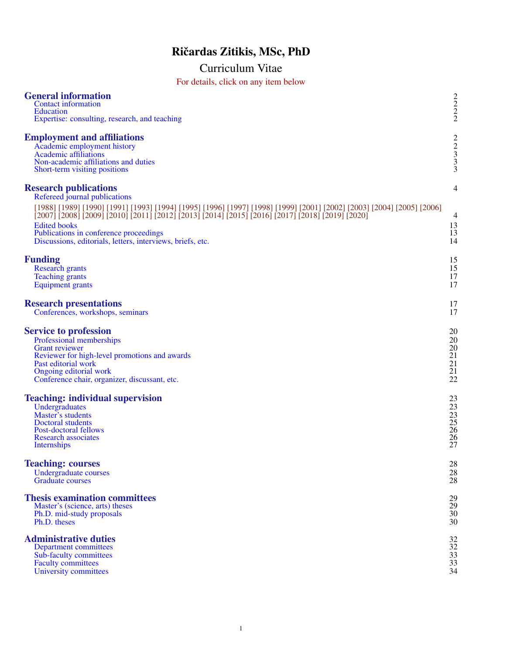# Ričardas Zitikis, MSc, PhD

# Curriculum Vitae For details, click on any item below

| <b>General information</b><br><b>Contact information</b><br><b>Education</b><br>Expertise: consulting, research, and teaching                                                                                                                                                                                                                                                                                               | $\begin{array}{c} 2 \\ 2 \\ 2 \end{array}$ |
|-----------------------------------------------------------------------------------------------------------------------------------------------------------------------------------------------------------------------------------------------------------------------------------------------------------------------------------------------------------------------------------------------------------------------------|--------------------------------------------|
| <b>Employment and affiliations</b><br>Academic employment history<br><b>Academic affiliations</b><br>Non-academic affiliations and duties<br>Short-term visiting positions                                                                                                                                                                                                                                                  | $\frac{2}{3}$ $\frac{3}{3}$                |
| <b>Research publications</b><br>Refereed journal publications<br>[1988] [1989] [1990] [1991] [1993] [1994] [1995] [1996] [1997] [1998] [1999] [2001] [2002] [2003] [2004] [2005] [2006]<br>[2007] [2008] [2009] [2010] [2011] [2012] [2013] [2014] [2015] [2016] [2017] [2018] [2019] [2020]<br><b>Edited books</b><br>Publications in conference proceedings<br>Discussions, editorials, letters, interviews, briefs, etc. | 4<br>$\overline{4}$<br>13<br>13<br>14      |
| <b>Funding</b>                                                                                                                                                                                                                                                                                                                                                                                                              | 15                                         |
| <b>Research grants</b>                                                                                                                                                                                                                                                                                                                                                                                                      | 15                                         |
| <b>Teaching grants</b>                                                                                                                                                                                                                                                                                                                                                                                                      | 17                                         |
| <b>Equipment</b> grants                                                                                                                                                                                                                                                                                                                                                                                                     | 17                                         |
| <b>Research presentations</b>                                                                                                                                                                                                                                                                                                                                                                                               | 17                                         |
| Conferences, workshops, seminars                                                                                                                                                                                                                                                                                                                                                                                            | 17                                         |
| <b>Service to profession</b>                                                                                                                                                                                                                                                                                                                                                                                                | 20                                         |
| Professional memberships                                                                                                                                                                                                                                                                                                                                                                                                    | 20                                         |
| <b>Grant reviewer</b>                                                                                                                                                                                                                                                                                                                                                                                                       | 20                                         |
| Reviewer for high-level promotions and awards                                                                                                                                                                                                                                                                                                                                                                               | 21                                         |
| Past editorial work                                                                                                                                                                                                                                                                                                                                                                                                         | 21                                         |
| Ongoing editorial work                                                                                                                                                                                                                                                                                                                                                                                                      | 21                                         |
| Conference chair, organizer, discussant, etc.                                                                                                                                                                                                                                                                                                                                                                               | 22                                         |
| <b>Teaching: individual supervision</b>                                                                                                                                                                                                                                                                                                                                                                                     | 23                                         |
| Undergraduates                                                                                                                                                                                                                                                                                                                                                                                                              | 23                                         |
| Master's students                                                                                                                                                                                                                                                                                                                                                                                                           | 23                                         |
| <b>Doctoral students</b>                                                                                                                                                                                                                                                                                                                                                                                                    | 25                                         |
| Post-doctoral fellows                                                                                                                                                                                                                                                                                                                                                                                                       | 26                                         |
| <b>Research associates</b>                                                                                                                                                                                                                                                                                                                                                                                                  | 26                                         |
| Internships                                                                                                                                                                                                                                                                                                                                                                                                                 | 27                                         |
| <b>Teaching: courses</b>                                                                                                                                                                                                                                                                                                                                                                                                    | 28                                         |
| <b>Undergraduate courses</b>                                                                                                                                                                                                                                                                                                                                                                                                | 28                                         |
| <b>Graduate courses</b>                                                                                                                                                                                                                                                                                                                                                                                                     | 28                                         |
| <b>Thesis examination committees</b>                                                                                                                                                                                                                                                                                                                                                                                        | 29                                         |
| Master's (science, arts) theses                                                                                                                                                                                                                                                                                                                                                                                             | 29                                         |
| Ph.D. mid-study proposals                                                                                                                                                                                                                                                                                                                                                                                                   | 30                                         |
| Ph.D. theses                                                                                                                                                                                                                                                                                                                                                                                                                | 30                                         |
| <b>Administrative duties</b>                                                                                                                                                                                                                                                                                                                                                                                                | 32                                         |
| Department committees                                                                                                                                                                                                                                                                                                                                                                                                       | 32                                         |
| Sub-faculty committees                                                                                                                                                                                                                                                                                                                                                                                                      | 33                                         |
| <b>Faculty committees</b>                                                                                                                                                                                                                                                                                                                                                                                                   | 33                                         |
| University committees                                                                                                                                                                                                                                                                                                                                                                                                       | 34                                         |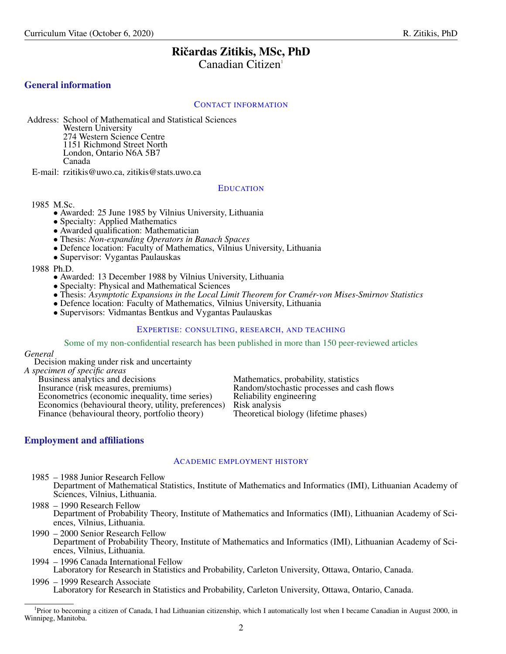# Ričardas Zitikis, MSc, PhD

Canadian Citizen<sup>[1](#page-1-6)</sup>

# <span id="page-1-0"></span>General information

### <span id="page-1-1"></span>CONTACT INFORMATION

Address: School of Mathematical and Statistical Sciences Western University 274 Western Science Centre 1151 Richmond Street North London, Ontario N6A 5B7 Canada

E-mail: rzitikis@uwo.ca, zitikis@stats.uwo.ca

### <span id="page-1-2"></span>EDUCATION

### 1985 M.Sc.

- Awarded: 25 June 1985 by Vilnius University, Lithuania
- Specialty: Applied Mathematics
- Awarded qualification: Mathematician
- Thesis: *Non-expanding Operators in Banach Spaces*
- Defence location: Faculty of Mathematics, Vilnius University, Lithuania
- Supervisor: Vygantas Paulauskas

1988 Ph.D.

- Awarded: 13 December 1988 by Vilnius University, Lithuania
- Specialty: Physical and Mathematical Sciences
- Thesis: *Asymptotic Expansions in the Local Limit Theorem for Cramér-von Mises-Smirnov Statistics*
- Defence location: Faculty of Mathematics, Vilnius University, Lithuania
- Supervisors: Vidmantas Bentkus and Vygantas Paulauskas

### <span id="page-1-3"></span>EXPERTISE: CONSULTING, RESEARCH, AND TEACHING

Some of my non-confidential research has been published in more than 150 peer-reviewed articles

*General*

Decision making under risk and uncertainty

*A specimen of specific areas*

| Business analytics and decisions                     | Mathematics, probability, statistics       |
|------------------------------------------------------|--------------------------------------------|
| Insurance (risk measures, premiums)                  | Random/stochastic processes and cash flows |
| Econometrics (economic inequality, time series)      | Reliability engineering                    |
| Economics (behavioural theory, utility, preferences) | Risk analysis                              |
| Finance (behavioural theory, portfolio theory)       | Theoretical biology (lifetime phases)      |

# <span id="page-1-4"></span>Employment and affiliations

# <span id="page-1-5"></span>ACADEMIC EMPLOYMENT HISTORY

- 1985 1988 Junior Research Fellow Department of Mathematical Statistics, Institute of Mathematics and Informatics (IMI), Lithuanian Academy of Sciences, Vilnius, Lithuania.
- 1988 1990 Research Fellow Department of Probability Theory, Institute of Mathematics and Informatics (IMI), Lithuanian Academy of Sciences, Vilnius, Lithuania.
- 1990 2000 Senior Research Fellow Department of Probability Theory, Institute of Mathematics and Informatics (IMI), Lithuanian Academy of Sciences, Vilnius, Lithuania.
- 1994 1996 Canada International Fellow Laboratory for Research in Statistics and Probability, Carleton University, Ottawa, Ontario, Canada.
- 1996 1999 Research Associate Laboratory for Research in Statistics and Probability, Carleton University, Ottawa, Ontario, Canada.

<span id="page-1-6"></span><sup>1</sup>Prior to becoming a citizen of Canada, I had Lithuanian citizenship, which I automatically lost when I became Canadian in August 2000, in Winnipeg, Manitoba.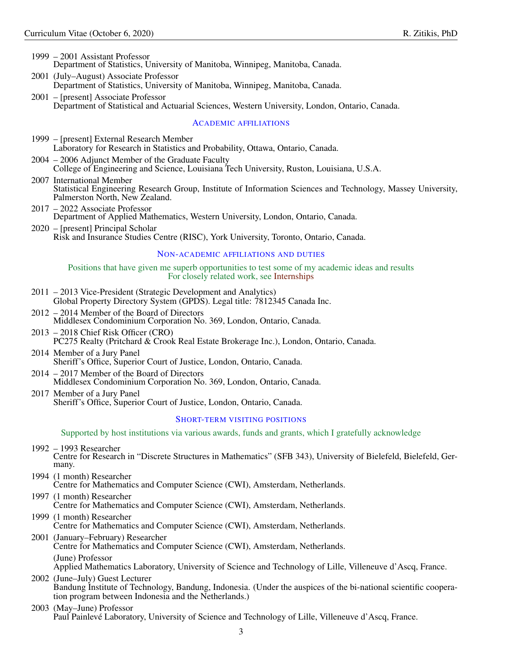- 1999 2001 Assistant Professor Department of Statistics, University of Manitoba, Winnipeg, Manitoba, Canada.
- 2001 (July–August) Associate Professor Department of Statistics, University of Manitoba, Winnipeg, Manitoba, Canada.
- 2001 [present] Associate Professor Department of Statistical and Actuarial Sciences, Western University, London, Ontario, Canada.

### <span id="page-2-0"></span>ACADEMIC AFFILIATIONS

- 1999 [present] External Research Member Laboratory for Research in Statistics and Probability, Ottawa, Ontario, Canada.
- 2004 2006 Adjunct Member of the Graduate Faculty College of Engineering and Science, Louisiana Tech University, Ruston, Louisiana, U.S.A.
- 2007 International Member Statistical Engineering Research Group, Institute of Information Sciences and Technology, Massey University, Palmerston North, New Zealand.
- 2017 2022 Associate Professor Department of Applied Mathematics, Western University, London, Ontario, Canada.
- 2020 [present] Principal Scholar Risk and Insurance Studies Centre (RISC), York University, Toronto, Ontario, Canada.

### <span id="page-2-1"></span>NON-ACADEMIC AFFILIATIONS AND DUTIES

### Positions that have given me superb opportunities to test some of my academic ideas and results For closely related work, see [Internships](#page-26-0)

- 2011 2013 Vice-President (Strategic Development and Analytics) Global Property Directory System (GPDS). Legal title: 7812345 Canada Inc.
- 2012 2014 Member of the Board of Directors Middlesex Condominium Corporation No. 369, London, Ontario, Canada.
- 2013 2018 Chief Risk Officer (CRO) PC275 Realty (Pritchard & Crook Real Estate Brokerage Inc.), London, Ontario, Canada.
- 2014 Member of a Jury Panel Sheriff's Office, Superior Court of Justice, London, Ontario, Canada.
- 2014 2017 Member of the Board of Directors Middlesex Condominium Corporation No. 369, London, Ontario, Canada.
- 2017 Member of a Jury Panel Sheriff's Office, Superior Court of Justice, London, Ontario, Canada.

### <span id="page-2-2"></span>SHORT-TERM VISITING POSITIONS

Supported by host institutions via various awards, funds and grants, which I gratefully acknowledge

- 1992 1993 Researcher Centre for Research in "Discrete Structures in Mathematics" (SFB 343), University of Bielefeld, Bielefeld, Germany.
- 1994 (1 month) Researcher Centre for Mathematics and Computer Science (CWI), Amsterdam, Netherlands.
- 1997 (1 month) Researcher Centre for Mathematics and Computer Science (CWI), Amsterdam, Netherlands.
- 1999 (1 month) Researcher Centre for Mathematics and Computer Science (CWI), Amsterdam, Netherlands.
- 2001 (January–February) Researcher Centre for Mathematics and Computer Science (CWI), Amsterdam, Netherlands. (June) Professor Applied Mathematics Laboratory, University of Science and Technology of Lille, Villeneuve d'Ascq, France.
- 2002 (June–July) Guest Lecturer Bandung Institute of Technology, Bandung, Indonesia. (Under the auspices of the bi-national scientific cooperation program between Indonesia and the Netherlands.)
- 2003 (May–June) Professor Paul Painlevé Laboratory, University of Science and Technology of Lille, Villeneuve d'Ascq, France.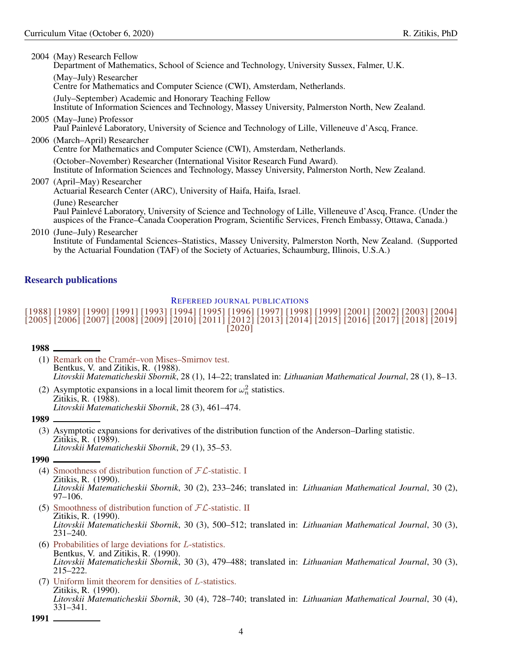2004 (May) Research Fellow Department of Mathematics, School of Science and Technology, University Sussex, Falmer, U.K. (May–July) Researcher Centre for Mathematics and Computer Science (CWI), Amsterdam, Netherlands. (July–September) Academic and Honorary Teaching Fellow Institute of Information Sciences and Technology, Massey University, Palmerston North, New Zealand. 2005 (May–June) Professor Paul Painlevé Laboratory, University of Science and Technology of Lille, Villeneuve d'Ascq, France. 2006 (March–April) Researcher Centre for Mathematics and Computer Science (CWI), Amsterdam, Netherlands. (October–November) Researcher (International Visitor Research Fund Award). Institute of Information Sciences and Technology, Massey University, Palmerston North, New Zealand. 2007 (April–May) Researcher Actuarial Research Center (ARC), University of Haifa, Haifa, Israel. (June) Researcher Paul Painlevé Laboratory, University of Science and Technology of Lille, Villeneuve d'Ascq, France. (Under the auspices of the France–Canada Cooperation Program, Scientific Services, French Embassy, Ottawa, Canada.) 2010 (June–July) Researcher

Institute of Fundamental Sciences–Statistics, Massey University, Palmerston North, New Zealand. (Supported by the Actuarial Foundation (TAF) of the Society of Actuaries, Schaumburg, Illinois, U.S.A.)

# <span id="page-3-0"></span>Research publications

# <span id="page-3-1"></span>REFEREED JOURNAL PUBLICATIONS

# [\[1988\]](#page-3-1) [\[1989\]](#page-3-2) [\[1990\]](#page-3-3) [\[1991\]](#page-3-4) [\[1993\]](#page-4-0) [\[1994\]](#page-4-1) [\[1995\]](#page-4-2) [\[1996\]](#page-4-3) [\[1997\]](#page-4-4) [\[1998\]](#page-4-5) [\[1999\]](#page-4-6) [\[2001\]](#page-4-7) [\[2002\]](#page-4-8) [\[2003\]](#page-5-0) [\[2004\]](#page-5-1) [\[2005\]](#page-5-2) [\[2006\]](#page-6-0) [\[2007\]](#page-6-1) [\[2008\]](#page-7-0) [\[2009\]](#page-7-1) [\[2010\]](#page-8-0) [\[2011\]](#page-9-0) [\[2012\]](#page-9-1) [\[2013\]](#page-9-2) [\[2014\]](#page-9-3) [\[2015\]](#page-10-0) [\[2016\]](#page-10-1) [\[2017\]](#page-10-2) [\[2018\]](#page-11-0) [\[2019\]](#page-11-1) [\[2020\]](#page-11-2)

### 1988

- (1) [Remark on the Cramér–von Mises–Smirnov test.](https://link.springer.com/article/10.1007/BF00972245) Bentkus, V. and Zitikis, R. (1988). *Litovskii Matematicheskii Sbornik*, 28 (1), 14–22; translated in: *Lithuanian Mathematical Journal*, 28 (1), 8–13.
- <span id="page-3-2"></span>(2) Asymptotic expansions in a local limit theorem for  $\omega_n^2$  statistics. Zitikis, R. (1988). *Litovskii Matematicheskii Sbornik*, 28 (3), 461–474.

### <span id="page-3-3"></span>1989

(3) Asymptotic expansions for derivatives of the distribution function of the Anderson–Darling statistic. Zitikis, R. (1989). *Litovskii Matematicheskii Sbornik*, 29 (1), 35–53.

1990

- (4) [Smoothness of distribution function of](https://link.springer.com/article/10.1007/BF00970836)  $FL$ -statistic. I Zitikis, R. (1990). *Litovskii Matematicheskii Sbornik*, 30 (2), 233–246; translated in: *Lithuanian Mathematical Journal*, 30 (2), 97–106.
- (5) [Smoothness of distribution function of](https://link.springer.com/article/10.1007/BF00970806)  $FL$ -statistic. II Zitikis, R. (1990). *Litovskii Matematicheskii Sbornik*, 30 (3), 500–512; translated in: *Lithuanian Mathematical Journal*, 30 (3), 231–240.
- (6) [Probabilities of large deviations for](https://link.springer.com/article/10.1007/BF00970804) L-statistics. Bentkus, V. and Zitikis, R. (1990). *Litovskii Matematicheskii Sbornik*, 30 (3), 479–488; translated in: *Lithuanian Mathematical Journal*, 30 (3), 215–222.
- <span id="page-3-4"></span>(7) [Uniform limit theorem for densities of](https://link.springer.com/article/10.1007/BF00970828) L-statistics. Zitikis, R. (1990). *Litovskii Matematicheskii Sbornik*, 30 (4), 728–740; translated in: *Lithuanian Mathematical Journal*, 30 (4), 331–341.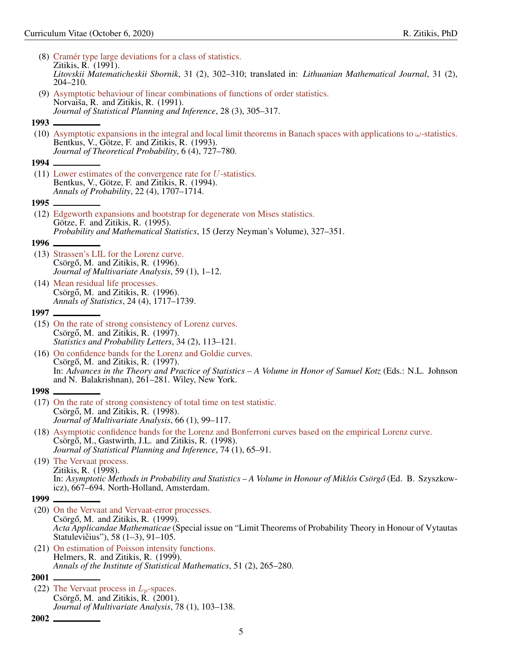<span id="page-4-8"></span><span id="page-4-7"></span><span id="page-4-6"></span><span id="page-4-5"></span><span id="page-4-4"></span><span id="page-4-3"></span><span id="page-4-2"></span><span id="page-4-1"></span><span id="page-4-0"></span>

|        | (8) Cramér type large deviations for a class of statistics.<br>Zitikis, R. (1991).                                                                                                                                                                                  |
|--------|---------------------------------------------------------------------------------------------------------------------------------------------------------------------------------------------------------------------------------------------------------------------|
|        | Litovskii Matematicheskii Sbornik, 31 (2), 302–310; translated in: Lithuanian Mathematical Journal, 31 (2),<br>$204 - 210.$                                                                                                                                         |
|        | (9) Asymptotic behaviour of linear combinations of functions of order statistics.<br>Norvaiša, R. and Zitikis, R. (1991).                                                                                                                                           |
|        | Journal of Statistical Planning and Inference, 28 (3), 305–317.                                                                                                                                                                                                     |
|        |                                                                                                                                                                                                                                                                     |
|        | (10) Asymptotic expansions in the integral and local limit theorems in Banach spaces with applications to $\omega$ -statistics.<br>Bentkus, V., Götze, F. and Zitikis, R. (1993).<br>Journal of Theoretical Probability, 6 (4), 727–780.                            |
| 1994 - |                                                                                                                                                                                                                                                                     |
|        | $(11)$ Lower estimates of the convergence rate for U-statistics.<br>Bentkus, V., Götze, F. and Zitikis, R. (1994).<br>Annals of Probability, 22 (4), 1707-1714.                                                                                                     |
|        |                                                                                                                                                                                                                                                                     |
|        | (12) Edgeworth expansions and bootstrap for degenerate von Mises statistics.<br>Götze, F. and Zitikis, R. (1995).<br>Probability and Mathematical Statistics, 15 (Jerzy Neyman's Volume), 327-351.                                                                  |
|        |                                                                                                                                                                                                                                                                     |
|        | (13) Strassen's LIL for the Lorenz curve.<br>Csörgő, M. and Zitikis, R. (1996).<br>Journal of Multivariate Analysis, 59 (1), 1–12.                                                                                                                                  |
|        | (14) Mean residual life processes.<br>Csörgő, M. and Zitikis, R. (1996).<br>Annals of Statistics, 24 (4), 1717–1739.                                                                                                                                                |
|        | 1997 ——————                                                                                                                                                                                                                                                         |
|        | (15) On the rate of strong consistency of Lorenz curves.<br>Csörgő, M. and Zitikis, R. (1997).<br>Statistics and Probability Letters, 34 (2), 113-121.                                                                                                              |
|        | (16) On confidence bands for the Lorenz and Goldie curves.<br>Csörgő, M. and Zitikis, R. (1997).<br>In: Advances in the Theory and Practice of Statistics - A Volume in Honor of Samuel Kotz (Eds.: N.L. Johnson<br>and N. Balakrishnan), 261–281. Wiley, New York. |
|        |                                                                                                                                                                                                                                                                     |
|        | (17) On the rate of strong consistency of total time on test statistic.<br>Csörgő, M. and Zitikis, R. (1998).<br>Journal of Multivariate Analysis, 66 (1), 99-117.                                                                                                  |
|        | (18) Asymptotic confidence bands for the Lorenz and Bonferroni curves based on the empirical Lorenz curve.<br>Csörgő, M., Gastwirth, J.L. and Zitikis, R. (1998).<br>Journal of Statistical Planning and Inference, 74 (1), 65–91.                                  |
|        | (19) The Vervaat process.<br>Zitikis, R. (1998).<br>In: Asymptotic Methods in Probability and Statistics – A Volume in Honour of Miklós Csörgő (Ed. B. Szyszkow-<br>icz), 667–694. North-Holland, Amsterdam.                                                        |
|        |                                                                                                                                                                                                                                                                     |
| 1999   |                                                                                                                                                                                                                                                                     |
|        | (20) On the Vervaat and Vervaat-error processes.<br>Csörgő, M. and Zitikis, R. (1999).<br>Acta Applicandae Mathematicae (Special issue on "Limit Theorems of Probability Theory in Honour of Vytautas<br>Statulevičius"), 58 (1-3), 91-105.                         |
|        | (21) On estimation of Poisson intensity functions.<br>Helmers, R. and Zitikis, R. (1999).<br>Annals of the Institute of Statistical Mathematics, 51 (2), 265–280.                                                                                                   |
| 2001   |                                                                                                                                                                                                                                                                     |
|        | (22) The Vervaat process in $L_p$ -spaces.<br>Csörgő, M. and Zitikis, R. (2001).<br>Journal of Multivariate Analysis, 78 (1), 103-138.                                                                                                                              |
| 2002   |                                                                                                                                                                                                                                                                     |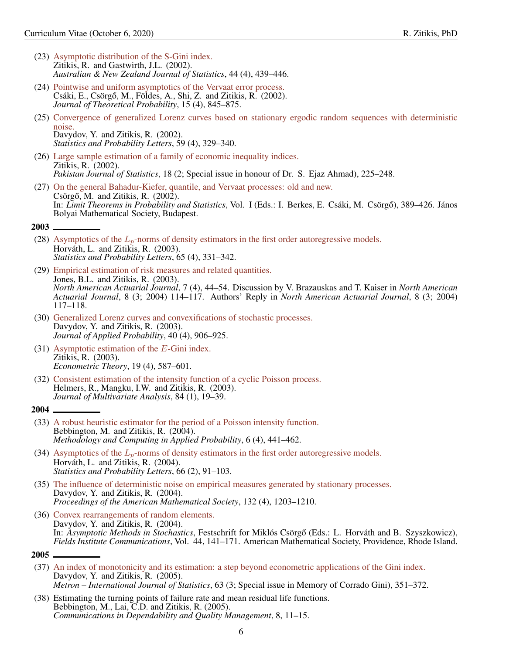- (23) [Asymptotic distribution of the S-Gini index.](https://onlinelibrary.wiley.com/doi/abs/10.1111/1467-842X.00245) Zitikis, R. and Gastwirth, J.L. (2002). *Australian & New Zealand Journal of Statistics*, 44 (4), 439–446.
- (24) [Pointwise and uniform asymptotics of the Vervaat error process.](https://link.springer.com/article/10.1023/A:1020650502619) Csáki, E., Csörgő, M., Földes, A., Shi, Z. and Zitikis, R. (2002). *Journal of Theoretical Probability*, 15 (4), 845–875.
- (25) [Convergence of generalized Lorenz curves based on stationary ergodic random sequences with deterministic](https://www.sciencedirect.com/science/article/abs/pii/S016771520200202X) [noise.](https://www.sciencedirect.com/science/article/abs/pii/S016771520200202X) Davydov, Y. and Zitikis, R. (2002). *Statistics and Probability Letters*, 59 (4), 329–340.
- (26) [Large sample estimation of a family of economic inequality indices.](https://www.researchgate.net/publication/246651033_Large_sample_estimation_of_a_family_of_economic_inequality_indices) Zitikis, R. (2002). *Pakistan Journal of Statistics*, 18 (2; Special issue in honour of Dr. S. Ejaz Ahmad), 225–248.
- <span id="page-5-0"></span>(27) [On the general Bahadur-Kiefer, quantile, and Vervaat processes: old and new.](http://www.lrsp.carleton.ca/trs/pdffiles/TRS323.pdf) Csörgő, M. and Zitikis, R.  $(2002)$ . In: *Limit Theorems in Probability and Statistics*, Vol. I (Eds.: I. Berkes, E. Csáki, M. Csörgő), 389–426. János Bolyai Mathematical Society, Budapest.

- (28) Asymptotics of the  $L_p$ [-norms of density estimators in the first order autoregressive models.](https://www.sciencedirect.com/science/article/abs/pii/S0167715203002633) Horváth, L. and Zitikis, R. (2003). *Statistics and Probability Letters*, 65 (4), 331–342.
- (29) [Empirical estimation of risk measures and related quantities.](https://www.tandfonline.com/doi/abs/10.1080/10920277.2003.10596117) Jones, B.L. and Zitikis, R. (2003). *North American Actuarial Journal*, 7 (4), 44–54. Discussion by V. Brazauskas and T. Kaiser in *North American Actuarial Journal*, 8 (3; 2004) 114–117. Authors' Reply in *North American Actuarial Journal*, 8 (3; 2004) 117–118.
- (30) [Generalized Lorenz curves and convexifications of stochastic processes.](https://www.cambridge.org/core/journals/journal-of-applied-probability/article/generalized-lorenz-curves-and-convexifications-of-stochastic-processes/50EA80B537873F492324526326A659F9) Davydov, Y. and Zitikis, R. (2003). *Journal of Applied Probability*, 40 (4), 906–925.
- (31) [Asymptotic estimation of the](https://www.jstor.org/stable/3533595?seq=1#page_scan_tab_contents) E-Gini index. Zitikis, R. (2003). *Econometric Theory*, 19 (4), 587–601.
- <span id="page-5-1"></span>(32) [Consistent estimation of the intensity function of a cyclic Poisson process.](https://www.sciencedirect.com/science/article/pii/S0047259X02000088) Helmers, R., Mangku, I.W. and Zitikis, R. (2003). *Journal of Multivariate Analysis*, 84 (1), 19–39.

#### 2004

- (33) [A robust heuristic estimator for the period of a Poisson intensity function.](https://link.springer.com/article/10.1023/B:MCAP.0000045090.84875.22) Bebbington, M. and Zitikis, R. (2004). *Methodology and Computing in Applied Probability*, 6 (4), 441–462.
- (34) Asymptotics of the  $L_p$ [-norms of density estimators in the first order autoregressive models.](https://www.sciencedirect.com/science/article/abs/pii/S0167715203002645) Horváth, L. and Zitikis, R. (2004). *Statistics and Probability Letters*, 66 (2), 91–103.
- (35) [The influence of deterministic noise on empirical measures generated by stationary processes.](https://www.jstor.org/stable/4097152?seq=1#page_scan_tab_contents) Davydov, Y. and Zitikis, R. (2004). *Proceedings of the American Mathematical Society*, 132 (4), 1203–1210.
- <span id="page-5-2"></span>(36) [Convex rearrangements of random elements.](https://www.researchgate.net/publication/260405599_Convex_rearrangements_of_random_elements) Davydov, Y. and Zitikis, R. (2004). In: *Asymptotic Methods in Stochastics*, Festschrift for Miklós Csörgő (Eds.: L. Horváth and B. Szyszkowicz), *Fields Institute Communications*, Vol. 44, 141–171. American Mathematical Society, Providence, Rhode Island.

- (37) [An index of monotonicity and its estimation: a step beyond econometric applications of the Gini index.](ftp://metron.sta.uniroma1.it/RePEc/articoli/si4.pdf) Davydov, Y. and Zitikis, R. (2005). *Metron – International Journal of Statistics*, 63 (3; Special issue in Memory of Corrado Gini), 351–372.
- (38) Estimating the turning points of failure rate and mean residual life functions. Bebbington, M., Lai, C.D. and Zitikis, R. (2005). *Communications in Dependability and Quality Management*, 8, 11–15.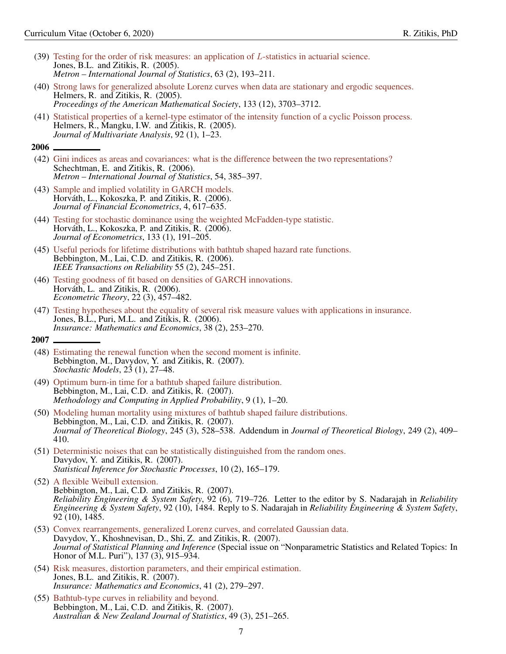- (39) [Testing for the order of risk measures: an application of](ftp://luna.sta.uniroma1.it/RePEc/articoli/2005-2-193-211.pdf) L-statistics in actuarial science. Jones, B.L. and Zitikis, R. (2005). *Metron – International Journal of Statistics*, 63 (2), 193–211.
- (40) [Strong laws for generalized absolute Lorenz curves when data are stationary and ergodic sequences.](https://www.jstor.org/stable/4097517?seq=1#page_scan_tab_contents) Helmers, R. and Zitikis, R. (2005). *Proceedings of the American Mathematical Society*, 133 (12), 3703–3712.
- <span id="page-6-0"></span>(41) [Statistical properties of a kernel-type estimator of the intensity function of a cyclic Poisson process.](https://www.sciencedirect.com/science/article/pii/S0047259X03000824) Helmers, R., Mangku, I.W. and Zitikis, R. (2005). *Journal of Multivariate Analysis*, 92 (1), 1–23.

- (42) [Gini indices as areas and covariances: what is the difference between the two representations?](ftp://metron.sta.uniroma1.it/RePEc/articoli/2006-3-9.pdf) Schechtman, E. and Zitikis, R. (2006). *Metron – International Journal of Statistics*, 54, 385–397.
- (43) [Sample and implied volatility in GARCH models.](https://academic.oup.com/jfec/article-abstract/4/4/617/2882827) Horváth, L., Kokoszka, P. and Zitikis, R. (2006). *Journal of Financial Econometrics*, 4, 617–635.
- (44) [Testing for stochastic dominance using the weighted McFadden-type statistic.](https://www.sciencedirect.com/science/article/pii/S0304407605000886) Horváth, L., Kokoszka, P. and Zitikis, R. (2006). *Journal of Econometrics*, 133 (1), 191–205.
- (45) [Useful periods for lifetime distributions with bathtub shaped hazard rate functions.](https://ieeexplore.ieee.org/document/1638407) Bebbington, M., Lai, C.D. and Zitikis, R. (2006). *IEEE Transactions on Reliability* 55 (2), 245–251.
- (46) [Testing goodness of fit based on densities of GARCH innovations.](https://www.cambridge.org/core/journals/econometric-theory/article/testing-goodness-of-fit-based-on-densities-of-garch-innovations/F30AC5093229F45424020A0A51113E89) Horváth, L. and Zitikis, R. (2006). *Econometric Theory*, 22 (3), 457–482.
- <span id="page-6-1"></span>(47) [Testing hypotheses about the equality of several risk measure values with applications in insurance.](https://www.sciencedirect.com/science/article/pii/S0167668705001149) Jones, B.L., Puri, M.L. and Zitikis, R. (2006). *Insurance: Mathematics and Economics*, 38 (2), 253–270.

- (48) [Estimating the renewal function when the second moment is infinite.](https://www.tandfonline.com/doi/abs/10.1080/15326340601141851?journalCode=lstm20) Bebbington, M., Davydov, Y. and Zitikis, R. (2007). *Stochastic Models*, 23 (1), 27–48.
- (49) [Optimum burn-in time for a bathtub shaped failure distribution.](https://link.springer.com/article/10.1007/s11009-006-9001-7) Bebbington, M., Lai, C.D. and Zitikis, R. (2007). *Methodology and Computing in Applied Probability*, 9 (1), 1–20.
- (50) [Modeling human mortality using mixtures of bathtub shaped failure distributions.](https://www.sciencedirect.com/science/article/pii/S0022519306005534) Bebbington, M., Lai, C.D. and Zitikis, R. (2007). *Journal of Theoretical Biology*, 245 (3), 528–538. Addendum in *Journal of Theoretical Biology*, 249 (2), 409– 410.
- (51) [Deterministic noises that can be statistically distinguished from the random ones.](https://link.springer.com/article/10.1007/s11203-006-0001-6) Davydov, Y. and Zitikis, R. (2007). *Statistical Inference for Stochastic Processes*, 10 (2), 165–179.
- (52) [A flexible Weibull extension.](https://www.sciencedirect.com/science/article/pii/S095183200600072X) Bebbington, M., Lai, C.D. and Zitikis, R. (2007). *Reliability Engineering & System Safety*, 92 (6), 719–726. Letter to the editor by S. Nadarajah in *Reliability Engineering & System Safety*, 92 (10), 1484. Reply to S. Nadarajah in *Reliability Engineering & System Safety*, 92 (10), 1485.
- (53) [Convex rearrangements, generalized Lorenz curves, and correlated Gaussian data.](https://www.sciencedirect.com/science/article/abs/pii/S0378375806001510) Davydov, Y., Khoshnevisan, D., Shi, Z. and Zitikis, R. (2007). *Journal of Statistical Planning and Inference* (Special issue on "Nonparametric Statistics and Related Topics: In Honor of M.L. Puri"), 137 (3), 915–934.
- (54) [Risk measures, distortion parameters, and their empirical estimation.](https://www.sciencedirect.com/science/article/pii/S0167668706001788) Jones, B.L. and Zitikis, R. (2007). *Insurance: Mathematics and Economics*, 41 (2), 279–297.
- (55) [Bathtub-type curves in reliability and beyond.](https://onlinelibrary.wiley.com/doi/abs/10.1111/j.1467-842X.2007.00479.x) Bebbington, M., Lai, C.D. and Zitikis, R. (2007). *Australian & New Zealand Journal of Statistics*, 49 (3), 251–265.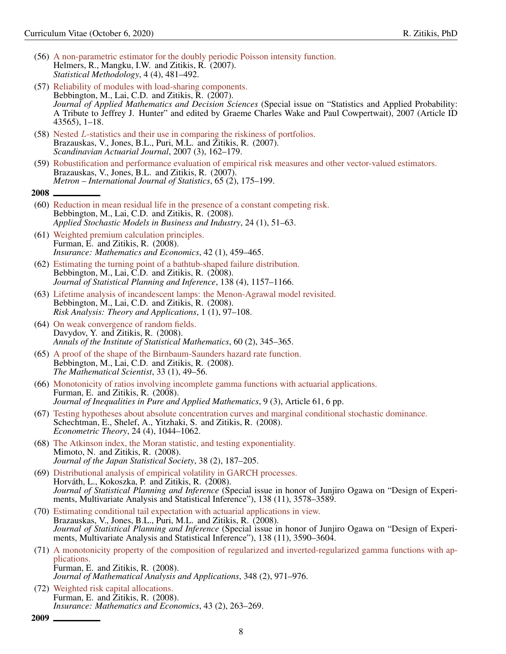- (56) [A non-parametric estimator for the doubly periodic Poisson intensity function.](https://www.sciencedirect.com/science/article/abs/pii/S1572312707000093) Helmers, R., Mangku, I.W. and Zitikis, R. (2007). *Statistical Methodology*, 4 (4), 481–492.
- (57) [Reliability of modules with load-sharing components.](https://www.hindawi.com/journals/ads/2007/043565/abs/) Bebbington, M., Lai, C.D. and Zitikis, R. (2007). *Journal of Applied Mathematics and Decision Sciences* (Special issue on "Statistics and Applied Probability: A Tribute to Jeffrey J. Hunter" and edited by Graeme Charles Wake and Paul Cowpertwait), 2007 (Article ID 43565), 1–18.
- (58) Nested L[-statistics and their use in comparing the riskiness of portfolios.](https://www.tandfonline.com/doi/abs/10.1080/03461230701390287) Brazauskas, V., Jones, B.L., Puri, M.L. and Zitikis, R. (2007). *Scandinavian Actuarial Journal*, 2007 (3), 162–179.
- <span id="page-7-0"></span>(59) [Robustification and performance evaluation of empirical risk measures and other vector-valued estimators.](ftp://metron.sta.uniroma1.it/RePEc/articoli/2007-2-3.pdf) Brazauskas, V., Jones, B.L. and Zitikis, R. (2007). *Metron – International Journal of Statistics*, 65 (2), 175–199.
- 2008
- (60) [Reduction in mean residual life in the presence of a constant competing risk.](https://onlinelibrary.wiley.com/doi/abs/10.1002/asmb.693) Bebbington, M., Lai, C.D. and Zitikis, R. (2008). *Applied Stochastic Models in Business and Industry*, 24 (1), 51–63.
- (61) [Weighted premium calculation principles.](https://www.sciencedirect.com/science/article/pii/S0167668707001242) Furman, E. and Zitikis, R. (2008). *Insurance: Mathematics and Economics*, 42 (1), 459–465.
- (62) [Estimating the turning point of a bathtub-shaped failure distribution.](https://www.sciencedirect.com/science/article/abs/pii/S037837580700273X) Bebbington, M., Lai, C.D. and Zitikis, R. (2008). *Journal of Statistical Planning and Inference*, 138 (4), 1157–1166.
- (63) [Lifetime analysis of incandescent lamps: the Menon-Agrawal model revisited.](http://www.gnedenko.net/Journal/2008/RATA_1_2008.pdf) Bebbington, M., Lai, C.D. and Zitikis, R. (2008). *Risk Analysis: Theory and Applications*, 1 (1), 97–108.
- (64) [On weak convergence of random fields.](https://link.springer.com/article/10.1007/s10463-006-0090-4) Davydov, Y. and Zitikis, R. (2008). *Annals of the Institute of Statistical Mathematics*, 60 (2), 345–365.
- (65) [A proof of the shape of the Birnbaum-Saunders hazard rate function.](http://www.appliedprobability.org/data/files/TMS%20articles/33_1_6.pdf) Bebbington, M., Lai, C.D. and Zitikis, R. (2008). *The Mathematical Scientist*, 33 (1), 49–56.
- (66) [Monotonicity of ratios involving incomplete gamma functions with actuarial applications.](https://www.emis.de/journals/JIPAM/article999.html?sid=999) Furman, E. and Zitikis, R. (2008). *Journal of Inequalities in Pure and Applied Mathematics*, 9 (3), Article 61, 6 pp.
- (67) [Testing hypotheses about absolute concentration curves and marginal conditional stochastic dominance.](https://www.cambridge.org/core/journals/econometric-theory/article/testing-hypotheses-about-absolute-concentration-curves-and-marginal-conditional-stochastic-dominance/9A026D1F680DDC762FD9B309C4EFEC45) Schechtman, E., Shelef, A., Yitzhaki, S. and Zitikis, R. (2008). *Econometric Theory*, 24 (4), 1044–1062.
- (68) [The Atkinson index, the Moran statistic, and testing exponentiality.](https://www.jstage.jst.go.jp/article/jjss/38/2/38_2_187/_article) Mimoto, N. and Zitikis, R. (2008). *Journal of the Japan Statistical Society*, 38 (2), 187–205.
- (69) [Distributional analysis of empirical volatility in GARCH processes.](https://www.sciencedirect.com/science/article/abs/pii/S0378375808001006) Horváth, L., Kokoszka, P. and Zitikis, R. (2008). *Journal of Statistical Planning and Inference* (Special issue in honor of Junjiro Ogawa on "Design of Experiments, Multivariate Analysis and Statistical Inference"), 138 (11), 3578–3589.
- (70) [Estimating conditional tail expectation with actuarial applications in view.](https://www.sciencedirect.com/science/article/abs/pii/S0378375808001018) Brazauskas, V., Jones, B.L., Puri, M.L. and Zitikis, R. (2008). *Journal of Statistical Planning and Inference* (Special issue in honor of Junjiro Ogawa on "Design of Experiments, Multivariate Analysis and Statistical Inference"), 138 (11), 3590–3604.
- (71) [A monotonicity property of the composition of regularized and inverted-regularized gamma functions with ap](https://www.sciencedirect.com/science/article/pii/S0022247X08007889)[plications.](https://www.sciencedirect.com/science/article/pii/S0022247X08007889) Furman, E. and Zitikis, R. (2008). *Journal of Mathematical Analysis and Applications*, 348 (2), 971–976.
- <span id="page-7-1"></span>(72) [Weighted risk capital allocations.](https://www.sciencedirect.com/science/article/pii/S0167668708000954) Furman, E. and Zitikis, R. (2008). *Insurance: Mathematics and Economics*, 43 (2), 263–269.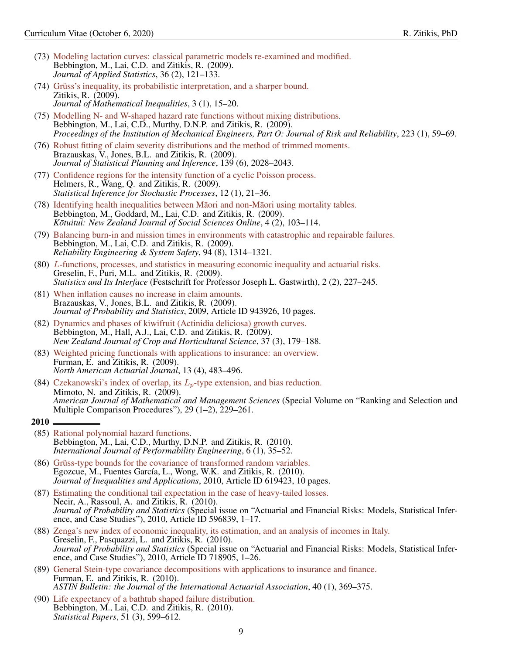- (73) [Modeling lactation curves: classical parametric models re-examined and modified.](https://www.tandfonline.com/doi/abs/10.1080/02664760802443897) Bebbington, M., Lai, C.D. and Zitikis, R. (2009). *Journal of Applied Statistics*, 36 (2), 121–133.
- (74) [Grüss's inequality, its probabilistic interpretation, and a sharper bound.](http://jmi.ele-math.com/03-02/Gruss-s-inequality,-its-probabilistic-interpretation,-and-a-sharper-bound) Zitikis, R. (2009). *Journal of Mathematical Inequalities*, 3 (1), 15–20.
- (75) [Modelling N- and W-shaped hazard rate functions without mixing distributions.](https://journals.sagepub.com/doi/10.1243/1748006XJRR219) Bebbington, M., Lai, C.D., Murthy, D.N.P. and Zitikis, R. (2009). *Proceedings of the Institution of Mechanical Engineers, Part O: Journal of Risk and Reliability*, 223 (1), 59–69.
- (76) [Robust fitting of claim severity distributions and the method of trimmed moments.](https://www.sciencedirect.com/science/article/abs/pii/S0378375808003716) Brazauskas, V., Jones, B.L. and Zitikis, R. (2009). *Journal of Statistical Planning and Inference*, 139 (6), 2028–2043.
- (77) [Confidence regions for the intensity function of a cyclic Poisson process.](https://link.springer.com/article/10.1007/s11203-007-9016-x) Helmers, R., Wang, Q. and Zitikis, R. (2009). *Statistical Inference for Stochastic Processes*, 12 (1), 21–36.
- (78) [Identifying health inequalities between Maori and non-M](https://www.tandfonline.com/doi/abs/10.1080/1177083X.2009.9522447)aori using mortality tables. Bebbington, M., Goddard, M., Lai, C.D. and Zitikis, R. (2009). *K*<sub>otuitui: New Zealand Journal of Social Sciences Online, 4 (2), 103–114.</sub>
- (79) [Balancing burn-in and mission times in environments with catastrophic and repairable failures.](https://www.sciencedirect.com/science/article/pii/S0951832009000520) Bebbington, M., Lai, C.D. and Zitikis, R. (2009). *Reliability Engineering & System Safety*, 94 (8), 1314–1321.
- (80) L[-functions, processes, and statistics in measuring economic inequality and actuarial risks.](https://www.intlpress.com/site/pub/files/_fulltext/journals/sii/2009/0002/0002/SII-2009-0002-0002-a013.pdf) Greselin, F., Puri, M.L. and Zitikis, R. (2009). *Statistics and Its Interface* (Festschrift for Professor Joseph L. Gastwirth), 2 (2), 227–245.
- (81) [When inflation causes no increase in claim amounts.](https://www.hindawi.com/journals/jps/2009/943926/) Brazauskas, V., Jones, B.L. and Zitikis, R. (2009). *Journal of Probability and Statistics*, 2009, Article ID 943926, 10 pages.
- (82) [Dynamics and phases of kiwifruit \(Actinidia deliciosa\) growth curves.](https://www.tandfonline.com/doi/abs/10.1080/01140670909510263) Bebbington, M., Hall, A.J., Lai, C.D. and Zitikis, R. (2009). *New Zealand Journal of Crop and Horticultural Science*, 37 (3), 179–188.
- (83) [Weighted pricing functionals with applications to insurance: an overview.](https://www.tandfonline.com/doi/abs/10.1080/10920277.2009.10597570) Furman, E. and Zitikis, R. (2009). *North American Actuarial Journal*, 13 (4), 483–496.
- <span id="page-8-0"></span>(84) [Czekanowski's index of overlap, its](https://www.tandfonline.com/doi/abs/10.1080/01966324.2009.10737758)  $L_p$ -type extension, and bias reduction. Mimoto, N. and Zitikis, R. (2009). *American Journal of Mathematical and Management Sciences* (Special Volume on "Ranking and Selection and Multiple Comparison Procedures"), 29 (1–2), 229–261.
- 2010
- (85) [Rational polynomial hazard functions.](http://www.ijpe-online.com/EN/10.23940/ijpe.10.1.p35.mag) Bebbington, M., Lai, C.D., Murthy, D.N.P. and Zitikis, R. (2010). *International Journal of Performability Engineering*, 6 (1), 35–52.
- (86) [Grüss-type bounds for the covariance of transformed random variables.](https://link.springer.com/article/10.1155/2010/619423) Egozcue, M., Fuentes García, L., Wong, W.K. and Zitikis, R. (2010). *Journal of Inequalities and Applications*, 2010, Article ID 619423, 10 pages.
- (87) [Estimating the conditional tail expectation in the case of heavy-tailed losses.](https://www.hindawi.com/journals/jps/2010/596839/) Necir, A., Rassoul, A. and Zitikis, R. (2010). *Journal of Probability and Statistics* (Special issue on "Actuarial and Financial Risks: Models, Statistical Inference, and Case Studies"), 2010, Article ID 596839, 1–17.
- (88) [Zenga's new index of economic inequality, its estimation, and an analysis of incomes in Italy.](https://www.hindawi.com/journals/jps/2010/718905/) Greselin, F., Pasquazzi, L. and Zitikis, R. (2010). *Journal of Probability and Statistics* (Special issue on "Actuarial and Financial Risks: Models, Statistical Inference, and Case Studies"), 2010, Article ID 718905, 1–26.
- (89) [General Stein-type covariance decompositions with applications to insurance and finance.](https://www.cambridge.org/core/journals/astin-bulletin-journal-of-the-iaa/article/general-steintype-covariance-decompositions-with-applications-to-insurance-and-finance/410B35F338D42A91AE1297463E168ADF) Furman, E. and Zitikis, R. (2010). *ASTIN Bulletin: the Journal of the International Actuarial Association*, 40 (1), 369–375.
- (90) [Life expectancy of a bathtub shaped failure distribution.](https://link.springer.com/article/10.1007/s00362-008-0148-x) Bebbington, M., Lai, C.D. and Zitikis, R. (2010). *Statistical Papers*, 51 (3), 599–612.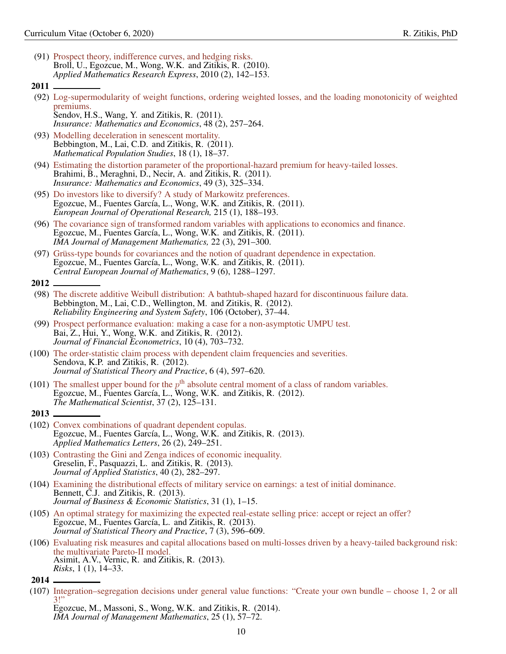- <span id="page-9-0"></span>(91) [Prospect theory, indifference curves, and hedging risks.](https://academic.oup.com/amrx/article/2010/2/142/204885) Broll, U., Egozcue, M., Wong, W.K. and Zitikis, R. (2010). *Applied Mathematics Research Express*, 2010 (2), 142–153.
- 2011
- (92) [Log-supermodularity of weight functions, ordering weighted losses, and the loading monotonicity of weighted](https://www.sciencedirect.com/science/article/pii/S0167668710001320) [premiums.](https://www.sciencedirect.com/science/article/pii/S0167668710001320) Sendov, H.S., Wang, Y. and Zitikis, R. (2011).
	- *Insurance: Mathematics and Economics*, 48 (2), 257–264.
- (93) [Modelling deceleration in senescent mortality.](https://www.tandfonline.com/doi/full/10.1080/08898480.2011.540173) Bebbington, M., Lai, C.D. and Zitikis, R. (2011). *Mathematical Population Studies*, 18 (1), 18–37.
- (94) [Estimating the distortion parameter of the proportional-hazard premium for heavy-tailed losses.](https://www.sciencedirect.com/science/article/pii/S016766871100059X) Brahimi, B., Meraghni, D., Necir, A. and Żitikis, R. (2011). *Insurance: Mathematics and Economics*, 49 (3), 325–334.
- (95) [Do investors like to diversify? A study of Markowitz preferences.](https://www.sciencedirect.com/science/article/abs/pii/S0377221711004590) Egozcue, M., Fuentes García, L., Wong, W.K. and Zitikis, R. (2011). *European Journal of Operational Research,* 215 (1), 188–193.
- (96) [The covariance sign of transformed random variables with applications to economics and finance.](https://academic.oup.com/imaman/article-abstract/22/3/291/730808) Egozcue, M., Fuentes García, L., Wong, W.K. and Zitikis, R. (2011). *IMA Journal of Management Mathematics,* 22 (3), 291–300.
- <span id="page-9-1"></span>(97) [Grüss-type bounds for covariances and the notion of quadrant dependence in expectation.](https://www.degruyter.com/view/j/math.2011.9.issue-6/s11533-011-0088-x/s11533-011-0088-x.xml?format=INT&intcmp=trendmd) Egozcue, M., Fuentes García, L., Wong, W.K. and Zitikis, R. (2011). *Central European Journal of Mathematics*, 9 (6), 1288–1297.
- 2012
- (98) [The discrete additive Weibull distribution: A bathtub-shaped hazard for discontinuous failure data.](https://www.sciencedirect.com/science/article/pii/S0951832012001147) Bebbington, M., Lai, C.D., Wellington, M. and Zitikis, R. (2012). *Reliability Engineering and System Safety*, 106 (October), 37–44.
- (99) [Prospect performance evaluation: making a case for a non-asymptotic UMPU test.](https://academic.oup.com/jfec/article-abstract/10/4/703/765092) Bai, Z., Hui, Y., Wong, W.K. and Zitikis, R. (2012). *Journal of Financial Econometrics*, 10 (4), 703–732.
- (100) [The order-statistic claim process with dependent claim frequencies and severities.](https://www.tandfonline.com/doi/abs/10.1080/15598608.2012.719736) Sendova, K.P. and Zitikis, R. (2012). *Journal of Statistical Theory and Practice*, 6 (4), 597–620.
- <span id="page-9-2"></span>(101) The smallest upper bound for the  $p<sup>th</sup>$  [absolute central moment of a class of random variables.](http://www.appliedprobability.org/data/files/TMS%20articles/37_2_6.pdf) Egozcue, M., Fuentes García, L., Wong, W.K. and Zitikis, R. (2012). *The Mathematical Scientist*, 37 (2), 125–131.
- 2013
- (102) [Convex combinations of quadrant dependent copulas.](https://www.sciencedirect.com/science/article/pii/S0893965912004053) Egozcue, M., Fuentes García, L., Wong, W.K. and Zitikis, R. (2013). *Applied Mathematics Letters*, 26 (2), 249–251.
- (103) [Contrasting the Gini and Zenga indices of economic inequality.](https://www.tandfonline.com/doi/abs/10.1080/02664763.2012.740627) Greselin, F., Pasquazzi, L. and Zitikis, R. (2013). *Journal of Applied Statistics*, 40 (2), 282–297.
- (104) [Examining the distributional effects of military service on earnings: a test of initial dominance.](https://www.tandfonline.com/doi/abs/10.1080/07350015.2012.741053) Bennett, C.J. and Zitikis, R. (2013). *Journal of Business & Economic Statistics*, 31 (1), 1–15.
- (105) [An optimal strategy for maximizing the expected real-estate selling price: accept or reject an offer?](https://link.springer.com/article/10.1080/15598608.2012.737297) Egozcue, M., Fuentes García, L. and Zitikis, R. (2013). *Journal of Statistical Theory and Practice*, 7 (3), 596–609.
- <span id="page-9-3"></span>(106) [Evaluating risk measures and capital allocations based on multi-losses driven by a heavy-tailed background risk:](https://www.mdpi.com/2227-9091/1/1/14?utm_source=trendmdwidget&utm_medium=cpc&utm_campaign=trendmd&trendmd_shared=0) [the multivariate Pareto-II model.](https://www.mdpi.com/2227-9091/1/1/14?utm_source=trendmdwidget&utm_medium=cpc&utm_campaign=trendmd&trendmd_shared=0) Asimit, A.V., Vernic, R. and Zitikis, R. (2013). *Risks*, 1 (1), 14–33.

<sup>2014</sup>

<sup>(107)</sup> [Integration–segregation decisions under general value functions: "Create your own bundle – choose 1, 2 or all](https://academic.oup.com/imaman/article-abstract/25/1/57/934323?redirectedFrom=fulltext) [3!"](https://academic.oup.com/imaman/article-abstract/25/1/57/934323?redirectedFrom=fulltext) Egozcue, M., Massoni, S., Wong, W.K. and Zitikis, R. (2014).

*IMA Journal of Management Mathematics*, 25 (1), 57–72.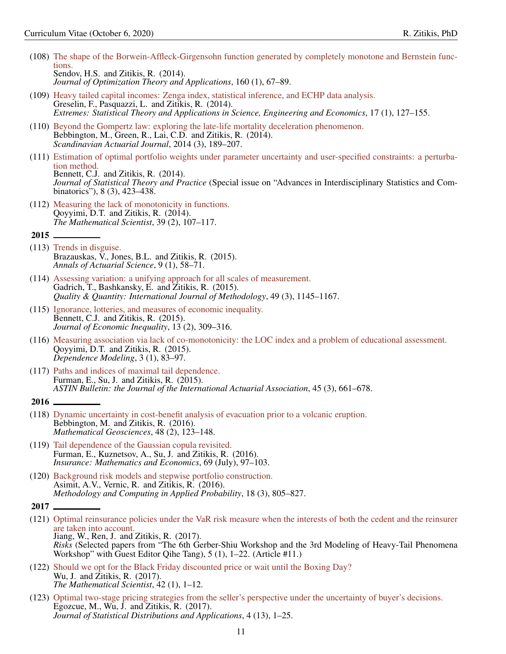- (108) [The shape of the Borwein-Affleck-Girgensohn function generated by completely monotone and Bernstein func](https://link.springer.com/article/10.1007/s10957-013-0345-1)[tions.](https://link.springer.com/article/10.1007/s10957-013-0345-1) Sendov, H.S. and Zitikis, R. (2014). *Journal of Optimization Theory and Applications*, 160 (1), 67–89.
- (109) [Heavy tailed capital incomes: Zenga index, statistical inference, and ECHP data analysis.](https://link.springer.com/article/10.1007/s10687-013-0177-2) Greselin, F., Pasquazzi, L. and Zitikis, R. (2014). *Extremes: Statistical Theory and Applications in Science, Engineering and Economics*, 17 (1), 127–155.
- (110) [Beyond the Gompertz law: exploring the late-life mortality deceleration phenomenon.](https://www.tandfonline.com/doi/abs/10.1080/03461238.2012.676562) Bebbington, M., Green, R., Lai, C.D. and Zitikis, R. (2014). *Scandinavian Actuarial Journal*, 2014 (3), 189–207.
- (111) [Estimation of optimal portfolio weights under parameter uncertainty and user-specified constraints: a perturba](https://link.springer.com/article/10.1080/15598608.2013.795125)[tion method.](https://link.springer.com/article/10.1080/15598608.2013.795125) Bennett, C.J. and Zitikis, R. (2014). *Journal of Statistical Theory and Practice* (Special issue on "Advances in Interdisciplinary Statistics and Combinatorics"), 8 (3), 423–438.
- <span id="page-10-0"></span>(112) [Measuring the lack of monotonicity in functions.](http://www.appliedprobability.org/data/files/TMS%20articles/39_2_4.pdf) Qoyyimi, D.T. and Zitikis, R. (2014). *The Mathematical Scientist*, 39 (2), 107–117.
- 2015
- (113) [Trends in disguise.](https://www.cambridge.org/core/journals/annals-of-actuarial-science/article/trends-in-disguise/5F97F0D44969F466E1B702FF78929F9B) Brazauskas,  $\bar{V}$ ., Jones, B.L. and Zitikis, R. (2015). *Annals of Actuarial Science*, 9 (1), 58–71.
- (114) [Assessing variation: a unifying approach for all scales of measurement.](https://link.springer.com/article/10.1007/s11135-014-0040-9) Gadrich, T., Bashkansky, E. and Zitikis, R. (2015). *Quality & Quantity: International Journal of Methodology*, 49 (3), 1145–1167.
- (115) [Ignorance, lotteries, and measures of economic inequality.](https://link.springer.com/article/10.1007/s10888-015-9302-6) Bennett, C.J. and Zitikis, R. (2015). *Journal of Economic Inequality*, 13 (2), 309–316.
- (116) [Measuring association via lack of co-monotonicity: the LOC index and a problem of educational assessment.](https://www.degruyter.com/view/j/demo.2015.3.issue-1/demo-2015-0006/demo-2015-0006.xml) Qoyyimi, D.T. and Zitikis, R. (2015). *Dependence Modeling*, 3 (1), 83–97.
- <span id="page-10-1"></span>(117) [Paths and indices of maximal tail dependence.](https://www.cambridge.org/core/journals/astin-bulletin-journal-of-the-iaa/article/paths-and-indices-of-maximal-tail-dependence/E2F9ED51654C9F770CF7C00E4167AF00) Furman, E., Su, J. and Zitikis, R.  $(2015)$ . *ASTIN Bulletin: the Journal of the International Actuarial Association*, 45 (3), 661–678.
- 2016
- (118) [Dynamic uncertainty in cost-benefit analysis of evacuation prior to a volcanic eruption.](https://link.springer.com/article/10.1007/s11004-015-9615-9) Bebbington, M. and Zitikis, R. (2016). *Mathematical Geosciences*, 48 (2), 123–148.
- (119) [Tail dependence of the Gaussian copula revisited.](https://www.sciencedirect.com/science/article/pii/S0167668715301104) Furman, E., Kuznetsov, A., Su, J. and Zitikis, R. (2016). *Insurance: Mathematics and Economics*, 69 (July), 97–103.
- <span id="page-10-2"></span>(120) [Background risk models and stepwise portfolio construction.](https://link.springer.com/article/10.1007/s11009-015-9458-3) Asimit, A.V., Vernic, R. and Zitikis, R. (2016). *Methodology and Computing in Applied Probability*, 18 (3), 805–827.

- (121) [Optimal reinsurance policies under the VaR risk measure when the interests of both the cedent and the reinsurer](https://www.mdpi.com/2227-9091/5/1/11) [are taken into account.](https://www.mdpi.com/2227-9091/5/1/11) Jiang, W., Ren, J. and Zitikis, R. (2017). *Risks* (Selected papers from "The 6th Gerber-Shiu Workshop and the 3rd Modeling of Heavy-Tail Phenomena Workshop" with Guest Editor Qihe Tang), 5 (1), 1–22. (Article #11.)
- (122) [Should we opt for the Black Friday discounted price or wait until the Boxing Day?](http://www.appliedprobability.org/data/files/TMS%20articles/42_1_1.pdf) Wu, J. and Zitikis, R. (2017). *The Mathematical Scientist*, 42 (1), 1–12.
- (123) [Optimal two-stage pricing strategies from the seller's perspective under the uncertainty of buyer's decisions.](https://jsdajournal.springeropen.com/articles/10.1186/s40488-017-0067-2) Egozcue, M., Wu,  $\hat{J}$ . and Zitikis, R. (2017). *Journal of Statistical Distributions and Applications*, 4 (13), 1–25.

<sup>2017</sup>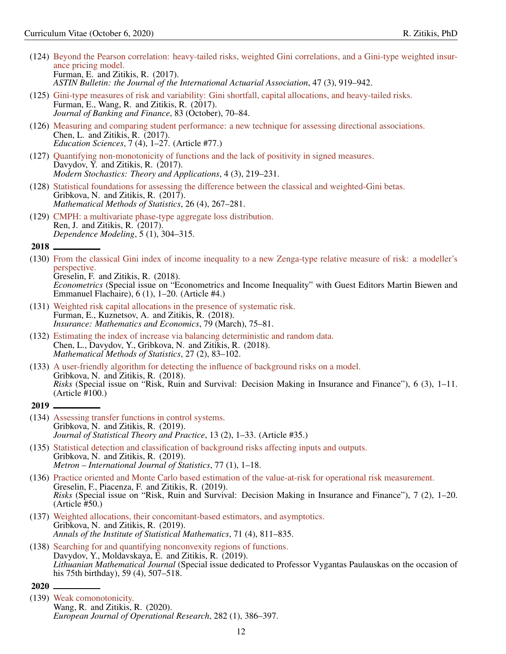- (124) [Beyond the Pearson correlation: heavy-tailed risks, weighted Gini correlations, and a Gini-type weighted insur](https://www.cambridge.org/core/journals/astin-bulletin-journal-of-the-iaa/article/beyond-the-pearson-correlation-heavytailed-risks-weighted-gini-correlations-and-a-ginitype-weighted-insurance-pricing-model/346D3BE1454100794D4A06B8BFDF4E7B)[ance pricing model.](https://www.cambridge.org/core/journals/astin-bulletin-journal-of-the-iaa/article/beyond-the-pearson-correlation-heavytailed-risks-weighted-gini-correlations-and-a-ginitype-weighted-insurance-pricing-model/346D3BE1454100794D4A06B8BFDF4E7B) Furman, E. and Zitikis, R. (2017). *ASTIN Bulletin: the Journal of the International Actuarial Association*, 47 (3), 919–942.
- (125) [Gini-type measures of risk and variability: Gini shortfall, capital allocations, and heavy-tailed risks.](https://www.sciencedirect.com/science/article/pii/S0378426617301474) Furman, E., Wang, R. and Zitikis, R. (2017). *Journal of Banking and Finance*, 83 (October), 70–84.
- (126) [Measuring and comparing student performance: a new technique for assessing directional associations.](https://www.mdpi.com/2227-7102/7/4/77) Chen, L. and Zitikis, R. (2017). *Education Sciences*, 7 (4), 1–27. (Article #77.)
- (127) [Quantifying non-monotonicity of functions and the lack of positivity in signed measures.](https://www.vmsta.org/journal/VMSTA/article/92/info) Davydov, Y. and Zitikis, R.  $(2017)$ . *Modern Stochastics: Theory and Applications*, 4 (3), 219–231.
- (128) [Statistical foundations for assessing the difference between the classical and weighted-Gini betas.](https://link.springer.com/article/10.3103/S1066530717040020) Gribkova, N. and Zitikis, R. (2017). *Mathematical Methods of Statistics*, 26 (4), 267–281.
- <span id="page-11-0"></span>(129) [CMPH: a multivariate phase-type aggregate loss distribution.](https://www.degruyter.com/view/j/demo.2017.5.issue-1/demo-2017-0018/demo-2017-0018.xml) Ren, J. and Zitikis, R. (2017). *Dependence Modeling*, 5 (1), 304–315.

(130) [From the classical Gini index of income inequality to a new Zenga-type relative measure of risk: a modeller's](https://www.mdpi.com/2225-1146/6/1/4) [perspective.](https://www.mdpi.com/2225-1146/6/1/4) Greselin, F. and Zitikis, R. (2018).

*Econometrics* (Special issue on "Econometrics and Income Inequality" with Guest Editors Martin Biewen and Emmanuel Flachaire), 6 (1), 1–20. (Article #4.)

- (131) [Weighted risk capital allocations in the presence of systematic risk.](https://www.sciencedirect.com/science/article/pii/S0167668717301427) Furman, E., Kuznetsov, A. and Zitikis, R. (2018). *Insurance: Mathematics and Economics*, 79 (March), 75–81.
- (132) [Estimating the index of increase via balancing deterministic and random data.](https://link.springer.com/article/10.3103/S1066530718020011) Chen, L., Davydov, Y., Gribkova, N. and Zitikis, R. (2018). *Mathematical Methods of Statistics*, 27 (2), 83–102.

<span id="page-11-1"></span>(133) [A user-friendly algorithm for detecting the influence of background risks on a model.](https://www.mdpi.com/2227-9091/6/3/100) Gribkova, N. and Zitikis, R. (2018). *Risks* (Special issue on "Risk, Ruin and Survival: Decision Making in Insurance and Finance"), 6 (3), 1–11. (Article #100.)

#### $2019$   $-$

- (134) [Assessing transfer functions in control systems.](https://link.springer.com/article/10.1007/s42519-018-0035-2) Gribkova, N. and Zitikis, R. (2019). *Journal of Statistical Theory and Practice*, 13 (2), 1–33. (Article #35.)
- (135) [Statistical detection and classification of background risks affecting inputs and outputs.](https://link.springer.com/article/10.1007/s40300-019-00148-3) Gribkova, N. and Zitikis, R. (2019). *Metron – International Journal of Statistics*, 77 (1), 1–18.
- (136) [Practice oriented and Monte Carlo based estimation of the value-at-risk for operational risk measurement.](https://www.mdpi.com/2227-9091/7/2/50) Greselin, F., Piacenza, F. and Zitikis, R. (2019). *Risks* (Special issue on "Risk, Ruin and Survival: Decision Making in Insurance and Finance"), 7 (2), 1–20. (Article #50.)
- (137) [Weighted allocations, their concomitant-based estimators, and asymptotics.](https://link.springer.com/article/10.1007/s10463-018-0660-2) Gribkova, N. and Zitikis, R. (2019). *Annals of the Institute of Statistical Mathematics*, 71 (4), 811–835.
- <span id="page-11-2"></span>(138) [Searching for and quantifying nonconvexity regions of functions.](https://link.springer.com/article/10.1007/s10986-019-09465-6) Davydov, Y., Moldavskaya, E. and Zitikis, R. (2019). *Lithuanian Mathematical Journal* (Special issue dedicated to Professor Vygantas Paulauskas on the occasion of his 75th birthday), 59 (4), 507–518.
- 2020
- (139) [Weak comonotonicity.](https://www.sciencedirect.com/science/article/abs/pii/S0377221719307593) Wang, R. and Zitikis, R. (2020). *European Journal of Operational Research*, 282 (1), 386–397.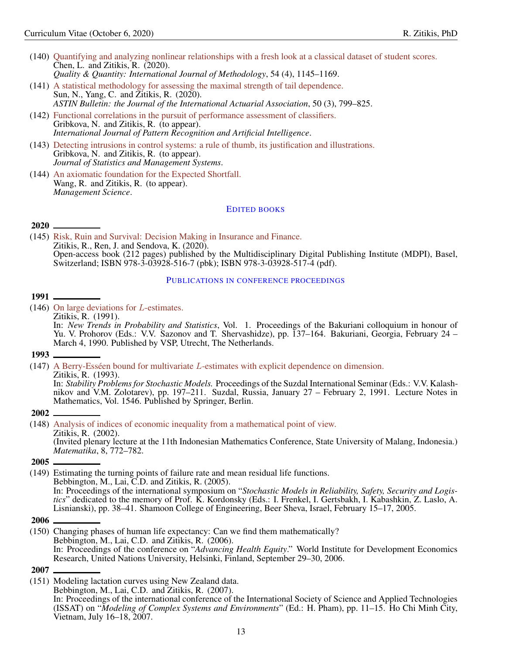- (140) [Quantifying and analyzing nonlinear relationships with a fresh look at a classical dataset of student scores.](https://doi.org/10.1007/s11135-020-00979-7) Chen, L. and Zitikis, R. (2020). *Quality & Quantity: International Journal of Methodology*, 54 (4), 1145–1169.
- (141) [A statistical methodology for assessing the maximal strength of tail dependence.](https://doi.org/10.1017/asb.2020.21) Sun, N., Yang, C. and Zitikis, R. (2020).

*ASTIN Bulletin: the Journal of the International Actuarial Association*, 50 (3), 799–825.

- (142) [Functional correlations in the pursuit of performance assessment of classifiers.](https://doi.org/10.1142/S0218001420510131) Gribkova, N. and Zitikis, R. (to appear). *International Journal of Pattern Recognition and Artificial Intelligence*.
- (143) [Detecting intrusions in control systems: a rule of thumb, its justification and illustrations.](https://www.tandfonline.com/doi/abs/10.1080/09720510.2019.1649038) Gribkova, N. and Zitikis, R. (to appear). *Journal of Statistics and Management Systems*.
- (144) [An axiomatic foundation for the Expected Shortfall.](https://pubsonline.informs.org/doi/10.1287/mnsc.2020.3617) Wang, R. and Zitikis, R. (to appear). *Management Science*.

# <span id="page-12-0"></span>EDITED BOOKS

### 2020

(145) [Risk, Ruin and Survival: Decision Making in Insurance and Finance.](https://www.mdpi.com/books/pdfview/book/2155) Zitikis, R., Ren, J. and Sendova, K. (2020). Open-access book (212 pages) published by the Multidisciplinary Digital Publishing Institute (MDPI), Basel, Switzerland; ISBN 978-3-03928-516-7 (pbk); ISBN 978-3-03928-517-4 (pdf).

#### <span id="page-12-1"></span>PUBLICATIONS IN CONFERENCE PROCEEDINGS

### 1991

(146) [On large deviations for](https://books.google.ca/books/about/Proceedings_of_the_Bakuriani_Colloquium.html?id=H5d-NRkt5PcC&redir_esc=y) L-estimates.

Zitikis, R. (1991). In: *New Trends in Probability and Statistics*, Vol. 1. Proceedings of the Bakuriani colloquium in honour of Yu. V. Prohorov (Eds.: V.V. Sazonov and T. Shervashidze), pp. 137–164. Bakuriani, Georgia, February 24 – March 4, 1990. Published by VSP, Utrecht, The Netherlands.

### 1993

(147) A Berry-Esséen bound for multivariate L[-estimates with explicit dependence on dimension.](https://link.springer.com/chapter/10.1007/BFb0084498)

Zitikis, R. (1993).

In: *Stability Problems for Stochastic Models.* Proceedings of the Suzdal International Seminar (Eds.: V.V. Kalashnikov and V.M. Zolotarev), pp. 197–211. Suzdal, Russia, January 27 – February 2, 1991. Lecture Notes in Mathematics, Vol. 1546. Published by Springer, Berlin.

### 2002

(148) [Analysis of indices of economic inequality from a mathematical point of view.](http://www.comptes.math.carleton.ca/trs/pdffiles/TRS366.pdf) Zitikis, R. (2002). (Invited plenary lecture at the 11th Indonesian Mathematics Conference, State University of Malang, Indonesia.) *Matematika*, 8, 772–782.

### 2005

- (149) Estimating the turning points of failure rate and mean residual life functions. Bebbington, M., Lai, C.D. and Zitikis, R. (2005). In: Proceedings of the international symposium on "*Stochastic Models in Reliability, Safety, Security and Logistics*" dedicated to the memory of Prof. K. Kordonsky (Eds.: I. Frenkel, I. Gertsbakh, I. Kabashkin, Z. Laslo, A. Lisnianski), pp. 38–41. Shamoon College of Engineering, Beer Sheva, Israel, February 15–17, 2005.
- 2006
- (150) Changing phases of human life expectancy: Can we find them mathematically? Bebbington, M., Lai, C.D. and Zitikis, R. (2006). In: Proceedings of the conference on "*Advancing Health Equity*." World Institute for Development Economics Research, United Nations University, Helsinki, Finland, September 29–30, 2006.

#### 2007

(151) Modeling lactation curves using New Zealand data.

Bebbington, M., Lai, C.D. and Zitikis, R. (2007). In: Proceedings of the international conference of the International Society of Science and Applied Technologies (ISSAT) on "*Modeling of Complex Systems and Environments*" (Ed.: H. Pham), pp. 11–15. Ho Chi Minh City, Vietnam, July 16–18, 2007.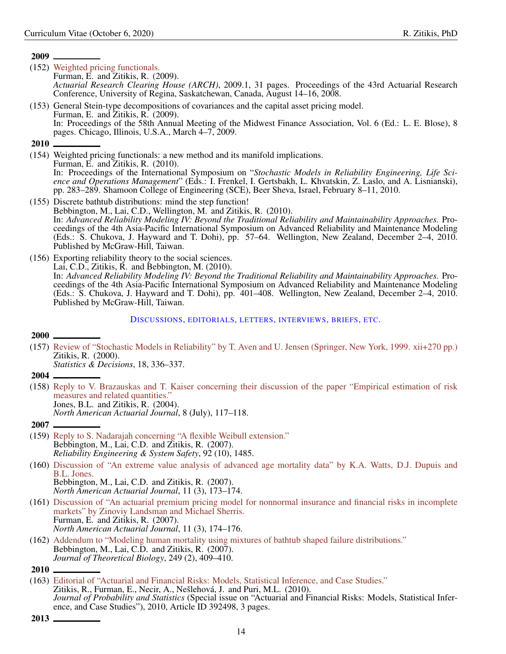- (152) [Weighted pricing functionals.](https://www.soa.org/globalassets/assets/files/static-pages/research/arch/2009/arch-2009-iss1-furman.pdf) Furman, E. and Zitikis, R. (2009). *Actuarial Research Clearing House (ARCH)*, 2009.1, 31 pages. Proceedings of the 43rd Actuarial Research Conference, University of Regina, Saskatchewan, Canada, August 14–16, 2008.
- (153) General Stein-type decompositions of covariances and the capital asset pricing model. Furman, E. and Zitikis, R. (2009). In: Proceedings of the 58th Annual Meeting of the Midwest Finance Association, Vol. 6 (Ed.: L. E. Blose), 8 pages. Chicago, Illinois, U.S.A., March 4–7, 2009.

# 2010

- (154) Weighted pricing functionals: a new method and its manifold implications. Furman, E. and Zitikis, R. (2010). In: Proceedings of the International Symposium on "*Stochastic Models in Reliability Engineering, Life Science and Operations Management*" (Eds.: I. Frenkel, I. Gertsbakh, L. Khvatskin, Z. Laslo, and A. Lisnianski), pp. 283–289. Shamoon College of Engineering (SCE), Beer Sheva, Israel, February 8–11, 2010.
- (155) Discrete bathtub distributions: mind the step function! Bebbington, M., Lai, C.D., Wellington, M. and Zitikis, R. (2010). In: *Advanced Reliability Modeling IV: Beyond the Traditional Reliability and Maintainability Approaches.* Proceedings of the 4th Asia-Pacific International Symposium on Advanced Reliability and Maintenance Modeling (Eds.: S. Chukova, J. Hayward and T. Dohi), pp. 57–64. Wellington, New Zealand, December 2–4, 2010. Published by McGraw-Hill, Taiwan.
- (156) Exporting reliability theory to the social sciences. Lai, C.D., Zitikis, R. and Bebbington, M. (2010). In: *Advanced Reliability Modeling IV: Beyond the Traditional Reliability and Maintainability Approaches.* Proceedings of the 4th Asia-Pacific International Symposium on Advanced Reliability and Maintenance Modeling (Eds.: S. Chukova, J. Hayward and T. Dohi), pp. 401–408. Wellington, New Zealand, December 2–4, 2010. Published by McGraw-Hill, Taiwan.

# <span id="page-13-0"></span>DISCUSSIONS, EDITORIALS, LETTERS, INTERVIEWS, BRIEFS, ETC.

# $2000 -$

(157) [Review of "Stochastic Models in Reliability" by T. Aven and U. Jensen \(Springer, New York, 1999. xii+270 pp.\)](https://www.degruyter.com/view/j/strm.2000.18.issue-3/strm.2000.18.3.331/strm.2000.18.3.331.xml?rskey=9xCbTe&result=2&q=zitikis) Zitikis, R. (2000).

*Statistics & Decisions*, 18, 336–337.

- 2004
- (158) [Reply to V. Brazauskas and T. Kaiser concerning their discussion of the paper "Empirical estimation of risk](https://www.tandfonline.com/doi/abs/10.1080/10920277.2004.10596156) [measures and related quantities."](https://www.tandfonline.com/doi/abs/10.1080/10920277.2004.10596156) Jones, B.L. and Zitikis, R. (2004). *North American Actuarial Journal*, 8 (July), 117–118.
- 2007
- (159) [Reply to S. Nadarajah concerning "A flexible Weibull extension."](https://www.sciencedirect.com/science/article/pii/S0951832007000889?via%3Dihub) Bebbington, M., Lai, C.D. and Zitikis, R. (2007). *Reliability Engineering & System Safety*, 92 (10), 1485.
- (160) [Discussion of "An extreme value analysis of advanced age mortality data" by K.A. Watts, D.J. Dupuis and](https://www.tandfonline.com/doi/abs/10.1080/10920277.2007.10597478) [B.L. Jones.](https://www.tandfonline.com/doi/abs/10.1080/10920277.2007.10597478) Bebbington, M., Lai, C.D. and Zitikis, R. (2007). *North American Actuarial Journal*, 11 (3), 173–174.
- (161) [Discussion of "An actuarial premium pricing model for nonnormal insurance and financial risks in incomplete](https://www.tandfonline.com/doi/abs/10.1080/10920277.2007.10597479) [markets" by Zinoviy Landsman and Michael Sherris.](https://www.tandfonline.com/doi/abs/10.1080/10920277.2007.10597479) Furman, E. and Zitikis, R. (2007). *North American Actuarial Journal*, 11 (3), 174–176.
- (162) [Addendum to "Modeling human mortality using mixtures of bathtub shaped failure distributions."](https://www.sciencedirect.com/science/article/pii/S0022519307004067) Bebbington, M., Lai, C.D. and Zitikis, R. (2007). *Journal of Theoretical Biology*, 249 (2), 409–410.

<sup>2010</sup>

<sup>(163)</sup> [Editorial of "Actuarial and Financial Risks: Models, Statistical Inference, and Case Studies."](https://www.hindawi.com/journals/jps/2010/392498/) Zitikis, R., Furman, E., Necir, A., Nešlehová, J. and Puri, M.L. (2010). *Journal of Probability and Statistics* (Special issue on "Actuarial and Financial Risks: Models, Statistical Inference, and Case Studies"), 2010, Article ID 392498, 3 pages.

<sup>2013</sup>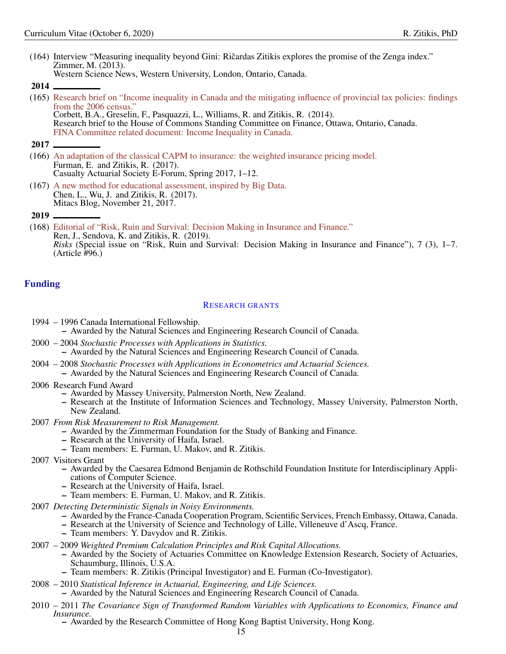(164) Interview "Measuring inequality beyond Gini: Ricardas Zitikis explores the promise of the Zenga index." ˇ Zimmer, M. (2013). Western Science News, Western University, London, Ontario, Canada.

2014

(165) [Research brief on "Income inequality in Canada and the mitigating influence of provincial tax policies: findings](https://www.ourcommons.ca/Content/committee/411/fina/webdoc/wd6079428/411_fina_iic_briefs/zitikisricardase.pdf) [from the 2006 census."](https://www.ourcommons.ca/Content/committee/411/fina/webdoc/wd6079428/411_fina_iic_briefs/zitikisricardase.pdf)

Corbett, B.A., Greselin, F., Pasquazzi, L., Williams, R. and Zitikis, R. (2014). Research brief to the House of Commons Standing Committee on Finance, Ottawa, Ontario, Canada. [FINA Committee related document: Income Inequality in Canada.](https://www.ourcommons.ca/DocumentViewer/en/41-1/FINA/related-document/6079428)

- (166) [An adaptation of the classical CAPM to insurance: the weighted insurance pricing model.](https://www.casact.org/pubs/forum/17spforum/01-FurmanZitikis.pdf) Furman, E. and Zitikis, R. (2017). Casualty Actuarial Society E-Forum, Spring 2017, 1–12.
- (167) [A new method for educational assessment, inspired by Big Data.](https://www.mitacs.ca/en/newsroom/blog/new-method-educational-assessment-inspired-big-data) Chen, L., Wu, J. and Zitikis, R. (2017). Mitacs Blog, November 21, 2017.

# <span id="page-14-0"></span>Funding

# <span id="page-14-1"></span>RESEARCH GRANTS

1994 – 1996 Canada International Fellowship. – Awarded by the Natural Sciences and Engineering Research Council of Canada.

- 2000 2004 *Stochastic Processes with Applications in Statistics.* – Awarded by the Natural Sciences and Engineering Research Council of Canada.
- 2004 2008 *Stochastic Processes with Applications in Econometrics and Actuarial Sciences.* – Awarded by the Natural Sciences and Engineering Research Council of Canada.
- 2006 Research Fund Award
	- Awarded by Massey University, Palmerston North, New Zealand.
	- Research at the Institute of Information Sciences and Technology, Massey University, Palmerston North, New Zealand.
- 2007 *From Risk Measurement to Risk Management.*
	- Awarded by the Zimmerman Foundation for the Study of Banking and Finance.
		- Research at the University of Haifa, Israel.
		- Team members: E. Furman, U. Makov, and R. Zitikis.
- 2007 Visitors Grant
	- Awarded by the Caesarea Edmond Benjamin de Rothschild Foundation Institute for Interdisciplinary Applications of Computer Science.
	- Research at the University of Haifa, Israel.
	- Team members: E. Furman, U. Makov, and R. Zitikis.
- 2007 *Detecting Deterministic Signals in Noisy Environments.*
	- Awarded by the France-Canada Cooperation Program, Scientific Services, French Embassy, Ottawa, Canada.
	- Research at the University of Science and Technology of Lille, Villeneuve d'Ascq, France.
	- Team members: Y. Davydov and R. Zitikis.
- 2007 2009 *Weighted Premium Calculation Principles and Risk Capital Allocations.*
	- Awarded by the Society of Actuaries Committee on Knowledge Extension Research, Society of Actuaries, Schaumburg, Illinois, U.S.A.
	- Team members: R. Zitikis (Principal Investigator) and E. Furman (Co-Investigator).
- 2008 2010 *Statistical Inference in Actuarial, Engineering, and Life Sciences.*
	- Awarded by the Natural Sciences and Engineering Research Council of Canada.
- 2010 2011 *The Covariance Sign of Transformed Random Variables with Applications to Economics, Finance and Insurance.*

– Awarded by the Research Committee of Hong Kong Baptist University, Hong Kong.

<sup>2017</sup>

<sup>2019</sup>

<sup>(168)</sup> [Editorial of "Risk, Ruin and Survival: Decision Making in Insurance and Finance."](https://www.mdpi.com/2227-9091/7/3/96) Ren, J., Sendova, K. and Zitikis, R. (2019). *Risks* (Special issue on "Risk, Ruin and Survival: Decision Making in Insurance and Finance"), 7 (3), 1–7. (Article #96.)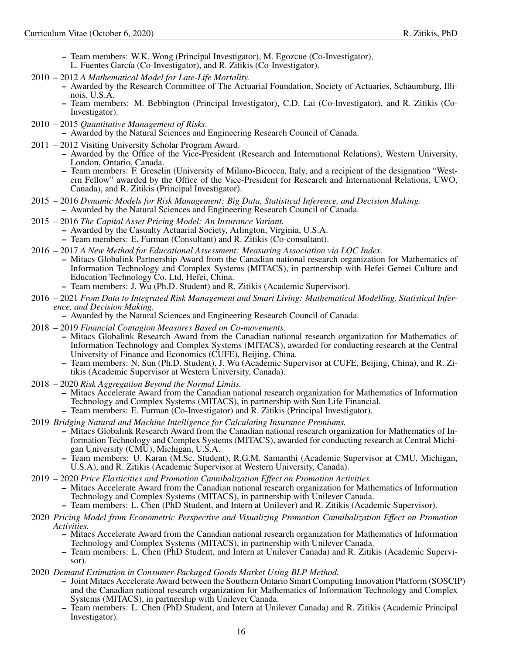- Team members: W.K. Wong (Principal Investigator), M. Egozcue (Co-Investigator),
- L. Fuentes García (Co-Investigator), and R. Zitikis (Co-Investigator).
- 2010 2012 *A Mathematical Model for Late-Life Mortality.*
	- Awarded by the Research Committee of The Actuarial Foundation, Society of Actuaries, Schaumburg, Illinois, U.S.A.
	- Team members: M. Bebbington (Principal Investigator), C.D. Lai (Co-Investigator), and R. Zitikis (Co-Investigator).
- 2010 2015 *Quantitative Management of Risks.* – Awarded by the Natural Sciences and Engineering Research Council of Canada.
- 2011 2012 Visiting University Scholar Program Award.
	- Awarded by the Office of the Vice-President (Research and International Relations), Western University, London, Ontario, Canada.
	- Team members: F. Greselin (University of Milano-Bicocca, Italy, and a recipient of the designation "Western Fellow" awarded by the Office of the Vice-President for Research and International Relations, UWO, Canada), and R. Zitikis (Principal Investigator).
- 2015 2016 *Dynamic Models for Risk Management: Big Data, Statistical Inference, and Decision Making.* – Awarded by the Natural Sciences and Engineering Research Council of Canada.
- 2015 2016 *The Capital Asset Pricing Model: An Insurance Variant.*
	- Awarded by the Casualty Actuarial Society, Arlington, Virginia, U.S.A.
	- Team members: E. Furman (Consultant) and R. Zitikis (Co-consultant).
- 2016 2017 *A New Method for Educational Assessment: Measuring Association via LOC Index.*
	- Mitacs Globalink Partnership Award from the Canadian national research organization for Mathematics of Information Technology and Complex Systems (MITACS), in partnership with Hefei Gemei Culture and Education Technology Co. Ltd, Hefei, China.
	- Team members: J. Wu (Ph.D. Student) and R. Zitikis (Academic Supervisor).
- 2016 2021 *From Data to Integrated Risk Management and Smart Living: Mathematical Modelling, Statistical Inference, and Decision Making.*
	- Awarded by the Natural Sciences and Engineering Research Council of Canada.
- 2018 2019 *Financial Contagion Measures Based on Co-movements.*
	- Mitacs Globalink Research Award from the Canadian national research organization for Mathematics of Information Technology and Complex Systems (MITACS), awarded for conducting research at the Central University of Finance and Economics (CUFE), Beijing, China.
		- Team members: N. Sun (Ph.D. Student), J. Wu (Academic Supervisor at CUFE, Beijing, China), and R. Zitikis (Academic Supervisor at Western University, Canada).
- 2018 2020 *Risk Aggregation Beyond the Normal Limits.*
	- Mitacs Accelerate Award from the Canadian national research organization for Mathematics of Information Technology and Complex Systems (MITACS), in partnership with Sun Life Financial.
	- Team members: E. Furman (Co-Investigator) and R. Zitikis (Principal Investigator).
- 2019 *Bridging Natural and Machine Intelligence for Calculating Insurance Premiums.*
	- Mitacs Globalink Research Award from the Canadian national research organization for Mathematics of Information Technology and Complex Systems (MITACS), awarded for conducting research at Central Michigan University (CMU), Michigan, U.S.A.
	- Team members: U. Karan (M.Sc. Student), R.G.M. Samanthi (Academic Supervisor at CMU, Michigan, U.S.A), and R. Zitikis (Academic Supervisor at Western University, Canada).
- 2019 2020 *Price Elasticities and Promotion Cannibalization Effect on Promotion Activities.*
	- Mitacs Accelerate Award from the Canadian national research organization for Mathematics of Information Technology and Complex Systems (MITACS), in partnership with Unilever Canada.
	- Team members: L. Chen (PhD Student, and Intern at Unilever) and R. Zitikis (Academic Supervisor).
- 2020 *Pricing Model from Econometric Perspective and Visualizing Promotion Cannibalization Effect on Promotion Activities.*
	- Mitacs Accelerate Award from the Canadian national research organization for Mathematics of Information Technology and Complex Systems (MITACS), in partnership with Unilever Canada.
	- Team members: L. Chen (PhD Student, and Intern at Unilever Canada) and R. Zitikis (Academic Supervisor).
- 2020 *Demand Estimation in Consumer-Packaged Goods Market Using BLP Method.*
	- Joint Mitacs Accelerate Award between the Southern Ontario Smart Computing Innovation Platform (SOSCIP) and the Canadian national research organization for Mathematics of Information Technology and Complex Systems (MITACS), in partnership with Unilever Canada.
	- Team members: L. Chen (PhD Student, and Intern at Unilever Canada) and R. Zitikis (Academic Principal Investigator).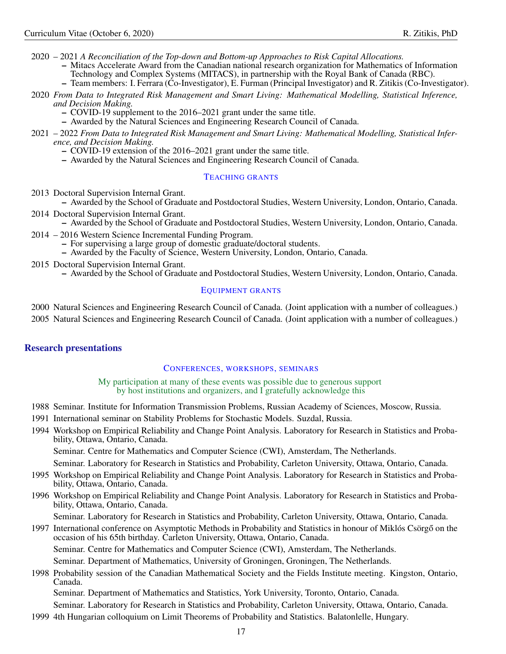2020 – 2021 *A Reconciliation of the Top-down and Bottom-up Approaches to Risk Capital Allocations.*

- Mitacs Accelerate Award from the Canadian national research organization for Mathematics of Information Technology and Complex Systems (MITACS), in partnership with the Royal Bank of Canada (RBC).
- Team members: I. Ferrara (Co-Investigator), E. Furman (Principal Investigator) and R. Zitikis (Co-Investigator).
- 2020 *From Data to Integrated Risk Management and Smart Living: Mathematical Modelling, Statistical Inference, and Decision Making.*
	- COVID-19 supplement to the 2016–2021 grant under the same title.
	- Awarded by the Natural Sciences and Engineering Research Council of Canada.
- 2021 2022 *From Data to Integrated Risk Management and Smart Living: Mathematical Modelling, Statistical Inference, and Decision Making.*
	- COVID-19 extension of the 2016–2021 grant under the same title.
	- Awarded by the Natural Sciences and Engineering Research Council of Canada.

# <span id="page-16-0"></span>TEACHING GRANTS

- 2013 Doctoral Supervision Internal Grant.
	- Awarded by the School of Graduate and Postdoctoral Studies, Western University, London, Ontario, Canada.
- 2014 Doctoral Supervision Internal Grant.
	- Awarded by the School of Graduate and Postdoctoral Studies, Western University, London, Ontario, Canada.
- 2014 2016 Western Science Incremental Funding Program.
	- For supervising a large group of domestic graduate/doctoral students.
	- Awarded by the Faculty of Science, Western University, London, Ontario, Canada.
- 2015 Doctoral Supervision Internal Grant.
	- Awarded by the School of Graduate and Postdoctoral Studies, Western University, London, Ontario, Canada.

# <span id="page-16-1"></span>EQUIPMENT GRANTS

2000 Natural Sciences and Engineering Research Council of Canada. (Joint application with a number of colleagues.) 2005 Natural Sciences and Engineering Research Council of Canada. (Joint application with a number of colleagues.)

# <span id="page-16-2"></span>Research presentations

# <span id="page-16-3"></span>CONFERENCES, WORKSHOPS, SEMINARS

My participation at many of these events was possible due to generous support by host institutions and organizers, and I gratefully acknowledge this

- 1988 Seminar. Institute for Information Transmission Problems, Russian Academy of Sciences, Moscow, Russia.
- 1991 International seminar on Stability Problems for Stochastic Models. Suzdal, Russia.
- 1994 Workshop on Empirical Reliability and Change Point Analysis. Laboratory for Research in Statistics and Probability, Ottawa, Ontario, Canada.

Seminar. Centre for Mathematics and Computer Science (CWI), Amsterdam, The Netherlands.

Seminar. Laboratory for Research in Statistics and Probability, Carleton University, Ottawa, Ontario, Canada.

- 1995 Workshop on Empirical Reliability and Change Point Analysis. Laboratory for Research in Statistics and Probability, Ottawa, Ontario, Canada.
- 1996 Workshop on Empirical Reliability and Change Point Analysis. Laboratory for Research in Statistics and Probability, Ottawa, Ontario, Canada.

Seminar. Laboratory for Research in Statistics and Probability, Carleton University, Ottawa, Ontario, Canada.

1997 International conference on Asymptotic Methods in Probability and Statistics in honour of Miklós Csörgő on the occasion of his 65th birthday. Carleton University, Ottawa, Ontario, Canada.

Seminar. Centre for Mathematics and Computer Science (CWI), Amsterdam, The Netherlands.

Seminar. Department of Mathematics, University of Groningen, Groningen, The Netherlands.

1998 Probability session of the Canadian Mathematical Society and the Fields Institute meeting. Kingston, Ontario, Canada.

Seminar. Department of Mathematics and Statistics, York University, Toronto, Ontario, Canada.

Seminar. Laboratory for Research in Statistics and Probability, Carleton University, Ottawa, Ontario, Canada.

1999 4th Hungarian colloquium on Limit Theorems of Probability and Statistics. Balatonlelle, Hungary.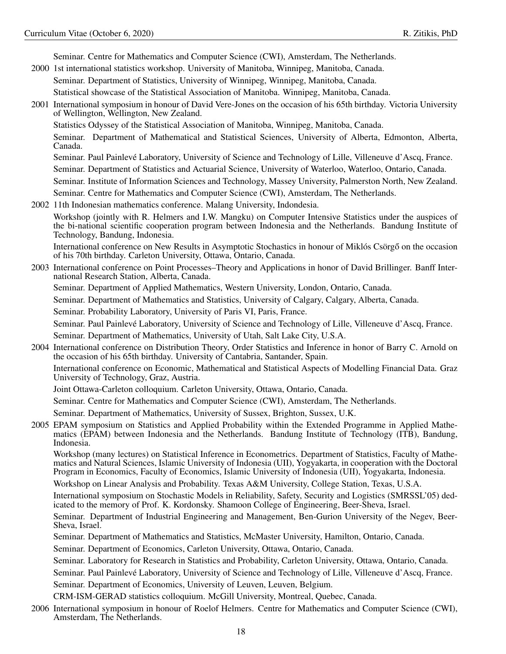Seminar. Centre for Mathematics and Computer Science (CWI), Amsterdam, The Netherlands.

2000 1st international statistics workshop. University of Manitoba, Winnipeg, Manitoba, Canada.

Seminar. Department of Statistics, University of Winnipeg, Winnipeg, Manitoba, Canada.

Statistical showcase of the Statistical Association of Manitoba. Winnipeg, Manitoba, Canada.

2001 International symposium in honour of David Vere-Jones on the occasion of his 65th birthday. Victoria University of Wellington, Wellington, New Zealand.

Statistics Odyssey of the Statistical Association of Manitoba, Winnipeg, Manitoba, Canada.

Seminar. Department of Mathematical and Statistical Sciences, University of Alberta, Edmonton, Alberta, Canada.

Seminar. Paul Painlevé Laboratory, University of Science and Technology of Lille, Villeneuve d'Ascq, France.

Seminar. Department of Statistics and Actuarial Science, University of Waterloo, Waterloo, Ontario, Canada.

Seminar. Institute of Information Sciences and Technology, Massey University, Palmerston North, New Zealand.

Seminar. Centre for Mathematics and Computer Science (CWI), Amsterdam, The Netherlands.

2002 11th Indonesian mathematics conference. Malang University, Indondesia.

Workshop (jointly with R. Helmers and I.W. Mangku) on Computer Intensive Statistics under the auspices of the bi-national scientific cooperation program between Indonesia and the Netherlands. Bandung Institute of Technology, Bandung, Indonesia.

International conference on New Results in Asymptotic Stochastics in honour of Miklós Csörgő on the occasion of his 70th birthday. Carleton University, Ottawa, Ontario, Canada.

2003 International conference on Point Processes–Theory and Applications in honor of David Brillinger. Banff International Research Station, Alberta, Canada.

Seminar. Department of Applied Mathematics, Western University, London, Ontario, Canada.

Seminar. Department of Mathematics and Statistics, University of Calgary, Calgary, Alberta, Canada.

Seminar. Probability Laboratory, University of Paris VI, Paris, France.

Seminar. Paul Painlevé Laboratory, University of Science and Technology of Lille, Villeneuve d'Ascq, France.

Seminar. Department of Mathematics, University of Utah, Salt Lake City, U.S.A.

2004 International conference on Distribution Theory, Order Statistics and Inference in honor of Barry C. Arnold on the occasion of his 65th birthday. University of Cantabria, Santander, Spain.

International conference on Economic, Mathematical and Statistical Aspects of Modelling Financial Data. Graz University of Technology, Graz, Austria.

Joint Ottawa-Carleton colloquium. Carleton University, Ottawa, Ontario, Canada.

Seminar. Centre for Mathematics and Computer Science (CWI), Amsterdam, The Netherlands.

Seminar. Department of Mathematics, University of Sussex, Brighton, Sussex, U.K.

2005 EPAM symposium on Statistics and Applied Probability within the Extended Programme in Applied Mathematics (EPAM) between Indonesia and the Netherlands. Bandung Institute of Technology (ITB), Bandung, Indonesia.

Workshop (many lectures) on Statistical Inference in Econometrics. Department of Statistics, Faculty of Mathematics and Natural Sciences, Islamic University of Indonesia (UII), Yogyakarta, in cooperation with the Doctoral Program in Economics, Faculty of Economics, Islamic University of Indonesia (UII), Yogyakarta, Indonesia.

Workshop on Linear Analysis and Probability. Texas A&M University, College Station, Texas, U.S.A.

International symposium on Stochastic Models in Reliability, Safety, Security and Logistics (SMRSSL'05) dedicated to the memory of Prof. K. Kordonsky. Shamoon College of Engineering, Beer-Sheva, Israel.

Seminar. Department of Industrial Engineering and Management, Ben-Gurion University of the Negev, Beer-Sheva, Israel.

Seminar. Department of Mathematics and Statistics, McMaster University, Hamilton, Ontario, Canada.

Seminar. Department of Economics, Carleton University, Ottawa, Ontario, Canada.

Seminar. Laboratory for Research in Statistics and Probability, Carleton University, Ottawa, Ontario, Canada.

Seminar. Paul Painlevé Laboratory, University of Science and Technology of Lille, Villeneuve d'Ascq, France.

Seminar. Department of Economics, University of Leuven, Leuven, Belgium.

CRM-ISM-GERAD statistics colloquium. McGill University, Montreal, Quebec, Canada.

2006 International symposium in honour of Roelof Helmers. Centre for Mathematics and Computer Science (CWI), Amsterdam, The Netherlands.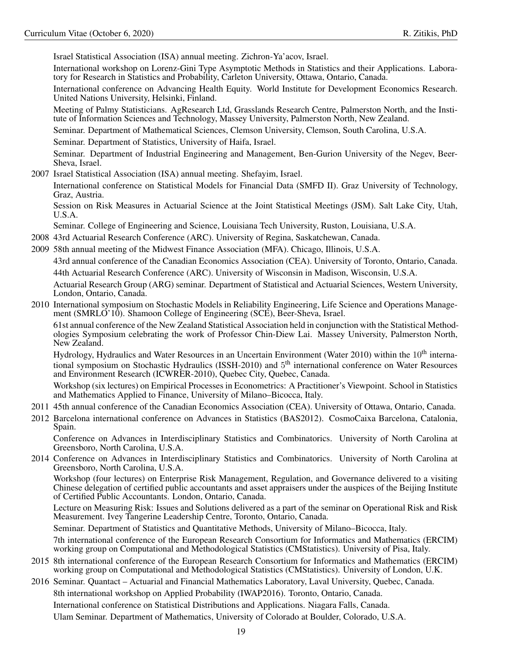Israel Statistical Association (ISA) annual meeting. Zichron-Ya'acov, Israel.

International workshop on Lorenz-Gini Type Asymptotic Methods in Statistics and their Applications. Laboratory for Research in Statistics and Probability, Carleton University, Ottawa, Ontario, Canada.

International conference on Advancing Health Equity. World Institute for Development Economics Research. United Nations University, Helsinki, Finland.

Meeting of Palmy Statisticians. AgResearch Ltd, Grasslands Research Centre, Palmerston North, and the Institute of Information Sciences and Technology, Massey University, Palmerston North, New Zealand.

Seminar. Department of Mathematical Sciences, Clemson University, Clemson, South Carolina, U.S.A.

Seminar. Department of Statistics, University of Haifa, Israel.

Seminar. Department of Industrial Engineering and Management, Ben-Gurion University of the Negev, Beer-Sheva, Israel.

2007 Israel Statistical Association (ISA) annual meeting. Shefayim, Israel.

International conference on Statistical Models for Financial Data (SMFD II). Graz University of Technology, Graz, Austria.

Session on Risk Measures in Actuarial Science at the Joint Statistical Meetings (JSM). Salt Lake City, Utah, U.S.A.

Seminar. College of Engineering and Science, Louisiana Tech University, Ruston, Louisiana, U.S.A.

- 2008 43rd Actuarial Research Conference (ARC). University of Regina, Saskatchewan, Canada.
- 2009 58th annual meeting of the Midwest Finance Association (MFA). Chicago, Illinois, U.S.A. 43rd annual conference of the Canadian Economics Association (CEA). University of Toronto, Ontario, Canada. 44th Actuarial Research Conference (ARC). University of Wisconsin in Madison, Wisconsin, U.S.A. Actuarial Research Group (ARG) seminar. Department of Statistical and Actuarial Sciences, Western University, London, Ontario, Canada.
- 2010 International symposium on Stochastic Models in Reliability Engineering, Life Science and Operations Management (SMRLO'10). Shamoon College of Engineering (SCE), Beer-Sheva, Israel.

61st annual conference of the New Zealand Statistical Association held in conjunction with the Statistical Methodologies Symposium celebrating the work of Professor Chin-Diew Lai. Massey University, Palmerston North, New Zealand.

Hydrology, Hydraulics and Water Resources in an Uncertain Environment (Water 2010) within the 10<sup>th</sup> international symposium on Stochastic Hydraulics (ISSH-2010) and 5<sup>th</sup> international conference on Water Resources and Environment Research (ICWRER-2010), Quebec City, Quebec, Canada.

Workshop (six lectures) on Empirical Processes in Econometrics: A Practitioner's Viewpoint. School in Statistics and Mathematics Applied to Finance, University of Milano–Bicocca, Italy.

- 2011 45th annual conference of the Canadian Economics Association (CEA). University of Ottawa, Ontario, Canada.
- 2012 Barcelona international conference on Advances in Statistics (BAS2012). CosmoCaixa Barcelona, Catalonia, Spain.

Conference on Advances in Interdisciplinary Statistics and Combinatorics. University of North Carolina at Greensboro, North Carolina, U.S.A.

2014 Conference on Advances in Interdisciplinary Statistics and Combinatorics. University of North Carolina at Greensboro, North Carolina, U.S.A.

Workshop (four lectures) on Enterprise Risk Management, Regulation, and Governance delivered to a visiting Chinese delegation of certified public accountants and asset appraisers under the auspices of the Beijing Institute of Certified Public Accountants. London, Ontario, Canada.

Lecture on Measuring Risk: Issues and Solutions delivered as a part of the seminar on Operational Risk and Risk Measurement. Ivey Tangerine Leadership Centre, Toronto, Ontario, Canada.

Seminar. Department of Statistics and Quantitative Methods, University of Milano–Bicocca, Italy.

7th international conference of the European Research Consortium for Informatics and Mathematics (ERCIM) working group on Computational and Methodological Statistics (CMStatistics). University of Pisa, Italy.

- 2015 8th international conference of the European Research Consortium for Informatics and Mathematics (ERCIM) working group on Computational and Methodological Statistics (CMStatistics). University of London, U.K.
- 2016 Seminar. Quantact Actuarial and Financial Mathematics Laboratory, Laval University, Quebec, Canada. 8th international workshop on Applied Probability (IWAP2016). Toronto, Ontario, Canada. International conference on Statistical Distributions and Applications. Niagara Falls, Canada. Ulam Seminar. Department of Mathematics, University of Colorado at Boulder, Colorado, U.S.A.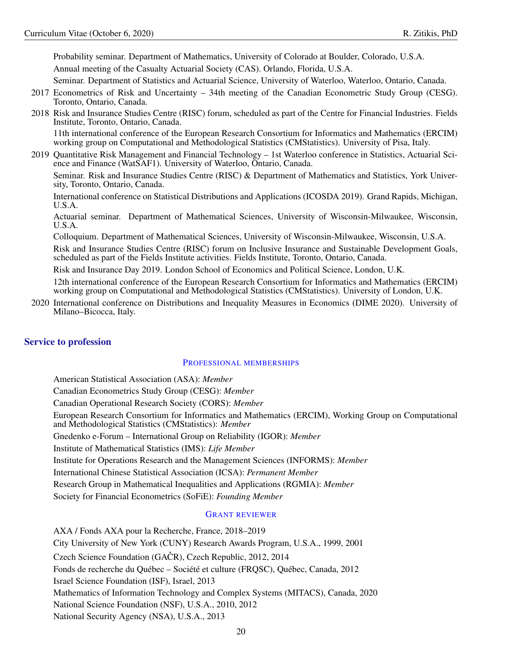Probability seminar. Department of Mathematics, University of Colorado at Boulder, Colorado, U.S.A. Annual meeting of the Casualty Actuarial Society (CAS). Orlando, Florida, U.S.A.

Seminar. Department of Statistics and Actuarial Science, University of Waterloo, Waterloo, Ontario, Canada.

- 2017 Econometrics of Risk and Uncertainty 34th meeting of the Canadian Econometric Study Group (CESG). Toronto, Ontario, Canada.
- 2018 Risk and Insurance Studies Centre (RISC) forum, scheduled as part of the Centre for Financial Industries. Fields Institute, Toronto, Ontario, Canada.

11th international conference of the European Research Consortium for Informatics and Mathematics (ERCIM) working group on Computational and Methodological Statistics (CMStatistics). University of Pisa, Italy.

2019 Quantitative Risk Management and Financial Technology – 1st Waterloo conference in Statistics, Actuarial Science and Finance (WatSAF1). University of Waterloo, Ontario, Canada.

Seminar. Risk and Insurance Studies Centre (RISC) & Department of Mathematics and Statistics, York University, Toronto, Ontario, Canada.

International conference on Statistical Distributions and Applications (ICOSDA 2019). Grand Rapids, Michigan, U.S.A.

Actuarial seminar. Department of Mathematical Sciences, University of Wisconsin-Milwaukee, Wisconsin, U.S.A.

Colloquium. Department of Mathematical Sciences, University of Wisconsin-Milwaukee, Wisconsin, U.S.A.

Risk and Insurance Studies Centre (RISC) forum on Inclusive Insurance and Sustainable Development Goals, scheduled as part of the Fields Institute activities. Fields Institute, Toronto, Ontario, Canada.

Risk and Insurance Day 2019. London School of Economics and Political Science, London, U.K.

12th international conference of the European Research Consortium for Informatics and Mathematics (ERCIM) working group on Computational and Methodological Statistics (CMStatistics). University of London, U.K.

2020 International conference on Distributions and Inequality Measures in Economics (DIME 2020). University of Milano–Bicocca, Italy.

# <span id="page-19-0"></span>Service to profession

# <span id="page-19-1"></span>PROFESSIONAL MEMBERSHIPS

American Statistical Association (ASA): *Member* Canadian Econometrics Study Group (CESG): *Member* Canadian Operational Research Society (CORS): *Member* European Research Consortium for Informatics and Mathematics (ERCIM), Working Group on Computational and Methodological Statistics (CMStatistics): *Member* Gnedenko e-Forum – International Group on Reliability (IGOR): *Member* Institute of Mathematical Statistics (IMS): *Life Member* Institute for Operations Research and the Management Sciences (INFORMS): *Member* International Chinese Statistical Association (ICSA): *Permanent Member* Research Group in Mathematical Inequalities and Applications (RGMIA): *Member* Society for Financial Econometrics (SoFiE): *Founding Member*

# <span id="page-19-2"></span>GRANT REVIEWER

AXA / Fonds AXA pour la Recherche, France, 2018–2019 City University of New York (CUNY) Research Awards Program, U.S.A., 1999, 2001 Czech Science Foundation (GAČR), Czech Republic, 2012, 2014 Fonds de recherche du Québec – Société et culture (FRQSC), Québec, Canada, 2012 Israel Science Foundation (ISF), Israel, 2013 Mathematics of Information Technology and Complex Systems (MITACS), Canada, 2020 National Science Foundation (NSF), U.S.A., 2010, 2012 National Security Agency (NSA), U.S.A., 2013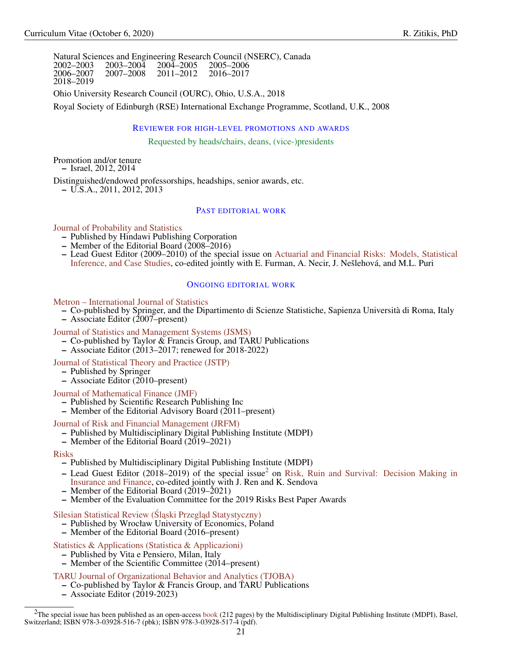Natural Sciences and Engineering Research Council (NSERC), Canada 2002–2003 2003–2004 2004–2005 2005–2006 2006–2007 2007–2008 2011–2012 2016–2017 2018–2019

Ohio University Research Council (OURC), Ohio, U.S.A., 2018

Royal Society of Edinburgh (RSE) International Exchange Programme, Scotland, U.K., 2008

### <span id="page-20-0"></span>REVIEWER FOR HIGH-LEVEL PROMOTIONS AND AWARDS

Requested by heads/chairs, deans, (vice-)presidents

Promotion and/or tenure – Israel, 2012, 2014

Distinguished/endowed professorships, headships, senior awards, etc.

– U.S.A., 2011, 2012, 2013

# <span id="page-20-1"></span>PAST EDITORIAL WORK

[Journal of Probability and Statistics](https://www.hindawi.com/journals/jps/)

- Published by Hindawi Publishing Corporation
- Member of the Editorial Board  $(2008-2016)$
- Lead Guest Editor (2009–2010) of the special issue on [Actuarial and Financial Risks: Models, Statistical](https://www.hindawi.com/journals/jps/si/835618/) [Inference, and Case Studies,](https://www.hindawi.com/journals/jps/si/835618/) co-edited jointly with E. Furman, A. Necir, J. Nešlehová, and M.L. Puri

### <span id="page-20-2"></span>ONGOING EDITORIAL WORK

### [Metron – International Journal of Statistics](https://www.springer.com/statistics/journal/40300?detailsPage=editorialBoard)

- Co-published by Springer, and the Dipartimento di Scienze Statistiche, Sapienza Università di Roma, Italy
- $-$  Associate Editor (2007–present)

# [Journal of Statistics and Management Systems \(JSMS\)](https://www.tandfonline.com/action/journalInformation?show=editorialBoard&journalCode=tsms20)

- Co-published by Taylor  $\&$  Francis Group, and TARU Publications
- Associate Editor (2013–2017; renewed for 2018-2022)

### [Journal of Statistical Theory and Practice \(JSTP\)](https://www.springer.com/statistics/journal/42519?detailsPage=editorialBoard)

- Published by Springer
- Associate Editor (2010–present)

# [Journal of Mathematical Finance \(JMF\)](https://www.scirp.org/journal/jmf/)

- Published by Scientific Research Publishing Inc
- Member of the Editorial Advisory Board (2011–present)

# [Journal of Risk and Financial Management \(JRFM\)](https://www.mdpi.com/journal/jrfm/editors)

- Published by Multidisciplinary Digital Publishing Institute (MDPI)
- Member of the Editorial Board (2019–2021)

### [Risks](https://www.mdpi.com/journal/risks/editors)

– Published by Multidisciplinary Digital Publishing Institute (MDPI)

- Lead Guest Editor ([2](#page-20-3)018–2019) of the special issue<sup>2</sup> on [Risk, Ruin and Survival: Decision Making in](https://www.mdpi.com/journal/risks/special_issues/Risk_Ruin_Survival) [Insurance and Finance,](https://www.mdpi.com/journal/risks/special_issues/Risk_Ruin_Survival) co-edited jointly with J. Ren and K. Sendova
- Member of the Editorial Board  $(2019–2021)$
- Member of the Evaluation Committee for the 2019 Risks Best Paper Awards

# Silesian Statistical Review (Śląski Przegląd Statystyczny)

- Published by Wrocław University of Economics, Poland
- Member of the Editorial Board (2016–present)

# [Statistics & Applications \(Statistica & Applicazioni\)](http://statisticaeapplicazioni.vitaepensiero.it/la-rivista.html)

- Published by Vita e Pensiero, Milan, Italy
- Member of the Scientific Committee (2014–present)

# [TARU Journal of Organizational Behavior and Analytics \(TJOBA\)](https://www.tarupublications.com/tjoba.html)

- Co-published by Taylor & Francis Group, and TARU Publications
- Associate Editor (2019-2023)

<span id="page-20-3"></span> $2$ The special issue has been published as an open-access [book](https://www.mdpi.com/books/pdfview/book/2155) (212 pages) by the Multidisciplinary Digital Publishing Institute (MDPI), Basel, Switzerland; ISBN 978-3-03928-516-7 (pbk); ISBN 978-3-03928-517-4 (pdf).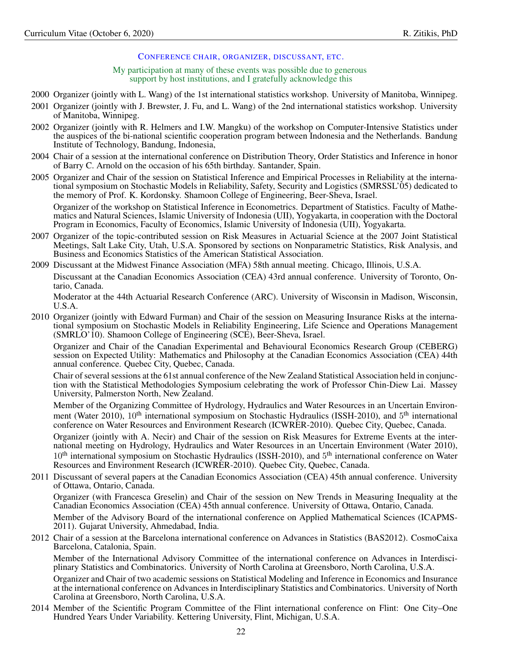### <span id="page-21-0"></span>CONFERENCE CHAIR, ORGANIZER, DISCUSSANT, ETC.

My participation at many of these events was possible due to generous support by host institutions, and I gratefully acknowledge this

- 2000 Organizer (jointly with L. Wang) of the 1st international statistics workshop. University of Manitoba, Winnipeg.
- 2001 Organizer (jointly with J. Brewster, J. Fu, and L. Wang) of the 2nd international statistics workshop. University of Manitoba, Winnipeg.
- 2002 Organizer (jointly with R. Helmers and I.W. Mangku) of the workshop on Computer-Intensive Statistics under the auspices of the bi-national scientific cooperation program between Indonesia and the Netherlands. Bandung Institute of Technology, Bandung, Indonesia,
- 2004 Chair of a session at the international conference on Distribution Theory, Order Statistics and Inference in honor of Barry C. Arnold on the occasion of his 65th birthday. Santander, Spain.
- 2005 Organizer and Chair of the session on Statistical Inference and Empirical Processes in Reliability at the international symposium on Stochastic Models in Reliability, Safety, Security and Logistics (SMRSSL'05) dedicated to the memory of Prof. K. Kordonsky. Shamoon College of Engineering, Beer-Sheva, Israel. Organizer of the workshop on Statistical Inference in Econometrics. Department of Statistics. Faculty of Mathematics and Natural Sciences, Islamic University of Indonesia (UII), Yogyakarta, in cooperation with the Doctoral
- 2007 Organizer of the topic-contributed session on Risk Measures in Actuarial Science at the 2007 Joint Statistical Meetings, Salt Lake City, Utah, U.S.A. Sponsored by sections on Nonparametric Statistics, Risk Analysis, and Business and Economics Statistics of the American Statistical Association.
- 2009 Discussant at the Midwest Finance Association (MFA) 58th annual meeting. Chicago, Illinois, U.S.A.

Program in Economics, Faculty of Economics, Islamic University of Indonesia (UII), Yogyakarta.

Discussant at the Canadian Economics Association (CEA) 43rd annual conference. University of Toronto, Ontario, Canada.

Moderator at the 44th Actuarial Research Conference (ARC). University of Wisconsin in Madison, Wisconsin, U.S.A.

2010 Organizer (jointly with Edward Furman) and Chair of the session on Measuring Insurance Risks at the international symposium on Stochastic Models in Reliability Engineering, Life Science and Operations Management (SMRLO'10). Shamoon College of Engineering (SCE), Beer-Sheva, Israel.

Organizer and Chair of the Canadian Experimental and Behavioural Economics Research Group (CEBERG) session on Expected Utility: Mathematics and Philosophy at the Canadian Economics Association (CEA) 44th annual conference. Quebec City, Quebec, Canada.

Chair of several sessions at the 61st annual conference of the New Zealand Statistical Association held in conjunction with the Statistical Methodologies Symposium celebrating the work of Professor Chin-Diew Lai. Massey University, Palmerston North, New Zealand.

Member of the Organizing Committee of Hydrology, Hydraulics and Water Resources in an Uncertain Environment (Water 2010), 10<sup>th</sup> international symposium on Stochastic Hydraulics (ISSH-2010), and 5<sup>th</sup> international conference on Water Resources and Environment Research (ICWRER-2010). Quebec City, Quebec, Canada.

Organizer (jointly with A. Necir) and Chair of the session on Risk Measures for Extreme Events at the international meeting on Hydrology, Hydraulics and Water Resources in an Uncertain Environment (Water 2010), 10<sup>th</sup> international symposium on Stochastic Hydraulics (ISSH-2010), and 5<sup>th</sup> international conference on Water Resources and Environment Research (ICWRER-2010). Quebec City, Quebec, Canada.

2011 Discussant of several papers at the Canadian Economics Association (CEA) 45th annual conference. University of Ottawa, Ontario, Canada.

Organizer (with Francesca Greselin) and Chair of the session on New Trends in Measuring Inequality at the Canadian Economics Association (CEA) 45th annual conference. University of Ottawa, Ontario, Canada.

Member of the Advisory Board of the international conference on Applied Mathematical Sciences (ICAPMS-2011). Gujarat University, Ahmedabad, India.

2012 Chair of a session at the Barcelona international conference on Advances in Statistics (BAS2012). CosmoCaixa Barcelona, Catalonia, Spain.

Member of the International Advisory Committee of the international conference on Advances in Interdisciplinary Statistics and Combinatorics. University of North Carolina at Greensboro, North Carolina, U.S.A.

Organizer and Chair of two academic sessions on Statistical Modeling and Inference in Economics and Insurance at the international conference on Advances in Interdisciplinary Statistics and Combinatorics. University of North Carolina at Greensboro, North Carolina, U.S.A.

2014 Member of the Scientific Program Committee of the Flint international conference on Flint: One City–One Hundred Years Under Variability. Kettering University, Flint, Michigan, U.S.A.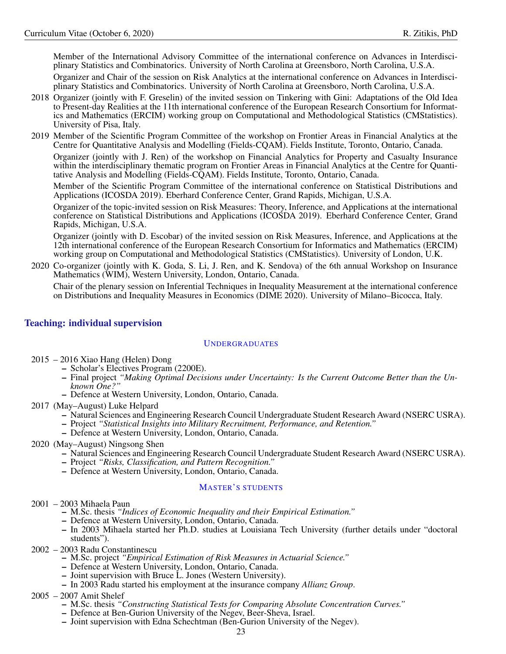Member of the International Advisory Committee of the international conference on Advances in Interdisciplinary Statistics and Combinatorics. University of North Carolina at Greensboro, North Carolina, U.S.A.

Organizer and Chair of the session on Risk Analytics at the international conference on Advances in Interdisciplinary Statistics and Combinatorics. University of North Carolina at Greensboro, North Carolina, U.S.A.

- 2018 Organizer (jointly with F. Greselin) of the invited session on Tinkering with Gini: Adaptations of the Old Idea to Present-day Realities at the 11th international conference of the European Research Consortium for Informatics and Mathematics (ERCIM) working group on Computational and Methodological Statistics (CMStatistics). University of Pisa, Italy.
- 2019 Member of the Scientific Program Committee of the workshop on Frontier Areas in Financial Analytics at the Centre for Quantitative Analysis and Modelling (Fields-CQAM). Fields Institute, Toronto, Ontario, Canada.

Organizer (jointly with J. Ren) of the workshop on Financial Analytics for Property and Casualty Insurance within the interdisciplinary thematic program on Frontier Areas in Financial Analytics at the Centre for Quantitative Analysis and Modelling (Fields-CQAM). Fields Institute, Toronto, Ontario, Canada.

Member of the Scientific Program Committee of the international conference on Statistical Distributions and Applications (ICOSDA 2019). Eberhard Conference Center, Grand Rapids, Michigan, U.S.A.

Organizer of the topic-invited session on Risk Measures: Theory, Inference, and Applications at the international conference on Statistical Distributions and Applications (ICOSDA 2019). Eberhard Conference Center, Grand Rapids, Michigan, U.S.A.

Organizer (jointly with D. Escobar) of the invited session on Risk Measures, Inference, and Applications at the 12th international conference of the European Research Consortium for Informatics and Mathematics (ERCIM) working group on Computational and Methodological Statistics (CMStatistics). University of London, U.K.

2020 Co-organizer (jointly with K. Goda, S. Li, J. Ren, and K. Sendova) of the 6th annual Workshop on Insurance Mathematics (WIM), Western University, London, Ontario, Canada.

Chair of the plenary session on Inferential Techniques in Inequality Measurement at the international conference on Distributions and Inequality Measures in Economics (DIME 2020). University of Milano–Bicocca, Italy.

# <span id="page-22-0"></span>Teaching: individual supervision

# <span id="page-22-1"></span>UNDERGRADUATES

- 2015 2016 Xiao Hang (Helen) Dong
	- Scholar's Electives Program (2200E).
	- Final project *"Making Optimal Decisions under Uncertainty: Is the Current Outcome Better than the Unknown One?"*
	- Defence at Western University, London, Ontario, Canada.
- 2017 (May–August) Luke Helpard
	- Natural Sciences and Engineering Research Council Undergraduate Student Research Award (NSERC USRA).
	- Project *"Statistical Insights into Military Recruitment, Performance, and Retention."*
	- Defence at Western University, London, Ontario, Canada.
- 2020 (May–August) Ningsong Shen
	- Natural Sciences and Engineering Research Council Undergraduate Student Research Award (NSERC USRA).
	- Project *"Risks, Classification, and Pattern Recognition."*
	- Defence at Western University, London, Ontario, Canada.

# <span id="page-22-2"></span>MASTER'S STUDENTS

- 2001 2003 Mihaela Paun
	- M.Sc. thesis *"Indices of Economic Inequality and their Empirical Estimation."*
	- Defence at Western University, London, Ontario, Canada.
	- In 2003 Mihaela started her Ph.D. studies at Louisiana Tech University (further details under "doctoral students").
- 2002 2003 Radu Constantinescu
	- M.Sc. project *"Empirical Estimation of Risk Measures in Actuarial Science."*
	- Defence at Western University, London, Ontario, Canada.
	- Joint supervision with Bruce L. Jones (Western University).
	- In 2003 Radu started his employment at the insurance company *Allianz Group*.
- 2005 2007 Amit Shelef
	- M.Sc. thesis *"Constructing Statistical Tests for Comparing Absolute Concentration Curves."*
	- Defence at Ben-Gurion University of the Negev, Beer-Sheva, Israel.
	- Joint supervision with Edna Schechtman (Ben-Gurion University of the Negev).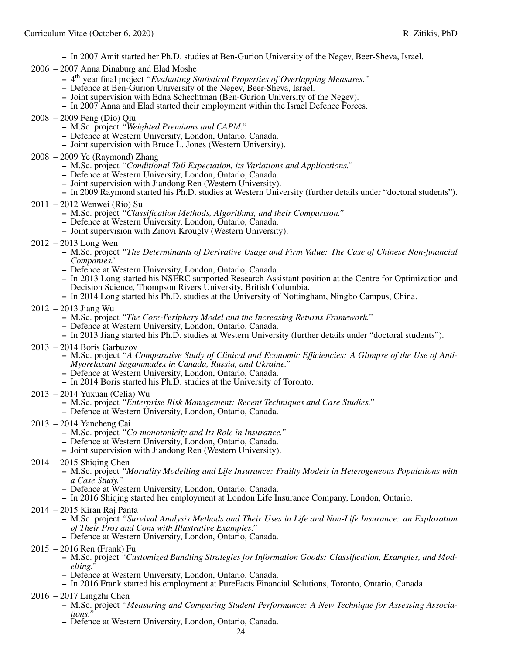- In 2007 Amit started her Ph.D. studies at Ben-Gurion University of the Negev, Beer-Sheva, Israel.
- 2006 2007 Anna Dinaburg and Elad Moshe
	- 4 th year final project *"Evaluating Statistical Properties of Overlapping Measures."*
	- Defence at Ben-Gurion University of the Negev, Beer-Sheva, Israel.
	- Joint supervision with Edna Schechtman (Ben-Gurion University of the Negev).
	- In 2007 Anna and Elad started their employment within the Israel Defence Forces.
- 2008 2009 Feng (Dio) Qiu
	- M.Sc. project *"Weighted Premiums and CAPM."*
	- Defence at Western University, London, Ontario, Canada.
	- Joint supervision with Bruce L. Jones (Western University).
- 2008 2009 Ye (Raymond) Zhang
	- M.Sc. project *"Conditional Tail Expectation, its Variations and Applications."*
	- Defence at Western University, London, Ontario, Canada.
	- Joint supervision with Jiandong Ren (Western University).
	- In 2009 Raymond started his Ph.D. studies at Western University (further details under "doctoral students").
- 2011 2012 Wenwei (Rio) Su
	- M.Sc. project *"Classification Methods, Algorithms, and their Comparison."*
	- Defence at Western University, London, Ontario, Canada.
	- Joint supervision with Zinovi Krougly (Western University).
- 2012 2013 Long Wen
	- M.Sc. project *"The Determinants of Derivative Usage and Firm Value: The Case of Chinese Non-financial Companies."*
	- Defence at Western University, London, Ontario, Canada.
	- In 2013 Long started his NSERC supported Research Assistant position at the Centre for Optimization and Decision Science, Thompson Rivers University, British Columbia.
	- In 2014 Long started his Ph.D. studies at the University of Nottingham, Ningbo Campus, China.
- 2012 2013 Jiang Wu
	- M.Sc. project *"The Core-Periphery Model and the Increasing Returns Framework."*
	- Defence at Western University, London, Ontario, Canada.
	- In 2013 Jiang started his Ph.D. studies at Western University (further details under "doctoral students").
- 2013 2014 Boris Garbuzov
	- M.Sc. project *"A Comparative Study of Clinical and Economic Efficiencies: A Glimpse of the Use of Anti-Myorelaxant Sugammadex in Canada, Russia, and Ukraine."*
	- Defence at Western University, London, Ontario, Canada.
	- In 2014 Boris started his Ph.D. studies at the University of Toronto.
- 2013 2014 Yuxuan (Celia) Wu
	- M.Sc. project *"Enterprise Risk Management: Recent Techniques and Case Studies."*
	- Defence at Western University, London, Ontario, Canada.
- 2013 2014 Yancheng Cai
	- M.Sc. project *"Co-monotonicity and Its Role in Insurance."*
	- Defence at Western University, London, Ontario, Canada.
	- Joint supervision with Jiandong Ren (Western University).
- $2014 2015$  Shiging Chen
	- M.Sc. project *"Mortality Modelling and Life Insurance: Frailty Models in Heterogeneous Populations with a Case Study."*
	- Defence at Western University, London, Ontario, Canada.
	- In 2016 Shiqing started her employment at London Life Insurance Company, London, Ontario.
- 2014 2015 Kiran Raj Panta
	- M.Sc. project *"Survival Analysis Methods and Their Uses in Life and Non-Life Insurance: an Exploration of Their Pros and Cons with Illustrative Examples."*
	- Defence at Western University, London, Ontario, Canada.
- 2015 2016 Ren (Frank) Fu
	- M.Sc. project *"Customized Bundling Strategies for Information Goods: Classification, Examples, and Modelling."*
	- Defence at Western University, London, Ontario, Canada.
	- In 2016 Frank started his employment at PureFacts Financial Solutions, Toronto, Ontario, Canada.
- 2016 2017 Lingzhi Chen
	- M.Sc. project *"Measuring and Comparing Student Performance: A New Technique for Assessing Associations."*
	- Defence at Western University, London, Ontario, Canada.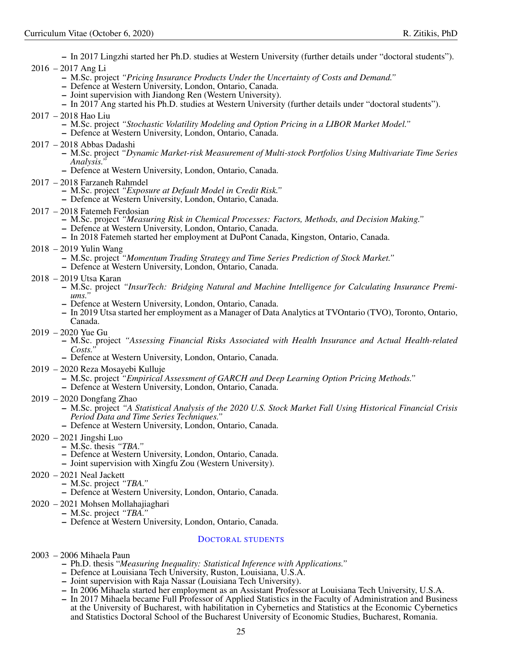– In 2017 Lingzhi started her Ph.D. studies at Western University (further details under "doctoral students"). 2016 – 2017 Ang Li

- M.Sc. project *"Pricing Insurance Products Under the Uncertainty of Costs and Demand."*
- Defence at Western University, London, Ontario, Canada.
- Joint supervision with Jiandong Ren (Western University).
- In 2017 Ang started his Ph.D. studies at Western University (further details under "doctoral students").
- 2017 2018 Hao Liu
	- M.Sc. project *"Stochastic Volatility Modeling and Option Pricing in a LIBOR Market Model."*
	- Defence at Western University, London, Ontario, Canada.
- 2017 2018 Abbas Dadashi
	- M.Sc. project *"Dynamic Market-risk Measurement of Multi-stock Portfolios Using Multivariate Time Series Analysis."*
	- Defence at Western University, London, Ontario, Canada.
- 2017 2018 Farzaneh Rahmdel
	- M.Sc. project *"Exposure at Default Model in Credit Risk."*
	- Defence at Western University, London, Ontario, Canada.
- 2017 2018 Fatemeh Ferdosian
	- M.Sc. project *"Measuring Risk in Chemical Processes: Factors, Methods, and Decision Making."*
	- Defence at Western University, London, Ontario, Canada.
	- In 2018 Fatemeh started her employment at DuPont Canada, Kingston, Ontario, Canada.
- 2018 2019 Yulin Wang
	- M.Sc. project *"Momentum Trading Strategy and Time Series Prediction of Stock Market."*
	- Defence at Western University, London, Ontario, Canada.
- 2018 2019 Utsa Karan
	- M.Sc. project *"InsurTech: Bridging Natural and Machine Intelligence for Calculating Insurance Premiums."*
	- Defence at Western University, London, Ontario, Canada.
	- In 2019 Utsa started her employment as a Manager of Data Analytics at TVOntario (TVO), Toronto, Ontario, Canada.
- 2019 2020 Yue Gu
	- M.Sc. project *"Assessing Financial Risks Associated with Health Insurance and Actual Health-related Costs."*
	- Defence at Western University, London, Ontario, Canada.
- 2019 2020 Reza Mosayebi Kulluje
	- M.Sc. project *"Empirical Assessment of GARCH and Deep Learning Option Pricing Methods."*
	- Defence at Western University, London, Ontario, Canada.
- 2019 2020 Dongfang Zhao
	- M.Sc. project *"A Statistical Analysis of the 2020 U.S. Stock Market Fall Using Historical Financial Crisis Period Data and Time Series Techniques."*
	- Defence at Western University, London, Ontario, Canada.
- 2020 2021 Jingshi Luo
	- M.Sc. thesis *"TBA."*
		- Defence at Western University, London, Ontario, Canada.
		- Joint supervision with Xingfu Zou (Western University).
- 2020 2021 Neal Jackett
	- M.Sc. project *"TBA."*
		- Defence at Western University, London, Ontario, Canada.
- 2020 2021 Mohsen Mollahajiaghari
- M.Sc. project *"TBA."*
	- Defence at Western University, London, Ontario, Canada.

# <span id="page-24-0"></span>DOCTORAL STUDENTS

- 2003 2006 Mihaela Paun
	- Ph.D. thesis "*Measuring Inequality: Statistical Inference with Applications."*
	- Defence at Louisiana Tech University, Ruston, Louisiana, U.S.A.
	- Joint supervision with Raja Nassar (Louisiana Tech University).
	- In 2006 Mihaela started her employment as an Assistant Professor at Louisiana Tech University, U.S.A.
	- In 2017 Mihaela became Full Professor of Applied Statistics in the Faculty of Administration and Business at the University of Bucharest, with habilitation in Cybernetics and Statistics at the Economic Cybernetics and Statistics Doctoral School of the Bucharest University of Economic Studies, Bucharest, Romania.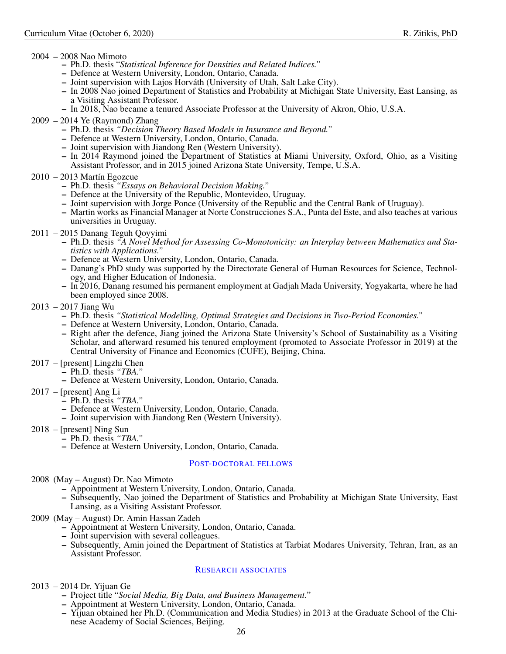# 2004 – 2008 Nao Mimoto

- Ph.D. thesis "*Statistical Inference for Densities and Related Indices."*
- Defence at Western University, London, Ontario, Canada.
- Joint supervision with Lajos Horváth (University of Utah, Salt Lake City).
- In 2008 Nao joined Department of Statistics and Probability at Michigan State University, East Lansing, as a Visiting Assistant Professor.
- In 2018, Nao became a tenured Associate Professor at the University of Akron, Ohio, U.S.A.
- 2009 2014 Ye (Raymond) Zhang
	- Ph.D. thesis *"Decision Theory Based Models in Insurance and Beyond."*
	- Defence at Western University, London, Ontario, Canada.
	- Joint supervision with Jiandong Ren (Western University).
	- In 2014 Raymond joined the Department of Statistics at Miami University, Oxford, Ohio, as a Visiting Assistant Professor, and in 2015 joined Arizona State University, Tempe, U.S.A.
- 2010 2013 Martín Egozcue
	- Ph.D. thesis *"Essays on Behavioral Decision Making."*
	- Defence at the University of the Republic, Montevideo, Uruguay.
	- Joint supervision with Jorge Ponce (University of the Republic and the Central Bank of Uruguay).
	- Martin works as Financial Manager at Norte Construcciones S.A., Punta del Este, and also teaches at various universities in Uruguay.
- 2011 2015 Danang Teguh Qoyyimi
	- Ph.D. thesis *"A Novel Method for Assessing Co-Monotonicity: an Interplay between Mathematics and Statistics with Applications."*
	- Defence at Western University, London, Ontario, Canada.
	- Danang's PhD study was supported by the Directorate General of Human Resources for Science, Technology, and Higher Education of Indonesia.
	- In 2016, Danang resumed his permanent employment at Gadjah Mada University, Yogyakarta, where he had been employed since 2008.
- 2013 2017 Jiang Wu
	- Ph.D. thesis *"Statistical Modelling, Optimal Strategies and Decisions in Two-Period Economies."*
	- Defence at Western University, London, Ontario, Canada.
	- Right after the defence, Jiang joined the Arizona State University's School of Sustainability as a Visiting Scholar, and afterward resumed his tenured employment (promoted to Associate Professor in 2019) at the Central University of Finance and Economics (CUFE), Beijing, China.
- 2017 [present] Lingzhi Chen
	- Ph.D. thesis *"TBA."*
	- Defence at Western University, London, Ontario, Canada.
- 2017 [present] Ang Li
	- Ph.D. thesis *"TBA."*
		- Defence at Western University, London, Ontario, Canada.
		- Joint supervision with Jiandong Ren (Western University).
- 2018 [present] Ning Sun
	- Ph.D. thesis *"TBA."*
	- Defence at Western University, London, Ontario, Canada.

### <span id="page-25-0"></span>POST-DOCTORAL FELLOWS

2008 (May – August) Dr. Nao Mimoto

- Appointment at Western University, London, Ontario, Canada.
- Subsequently, Nao joined the Department of Statistics and Probability at Michigan State University, East Lansing, as a Visiting Assistant Professor.
- 2009 (May August) Dr. Amin Hassan Zadeh
	- Appointment at Western University, London, Ontario, Canada.
	- Joint supervision with several colleagues.
	- Subsequently, Amin joined the Department of Statistics at Tarbiat Modares University, Tehran, Iran, as an Assistant Professor.

# <span id="page-25-1"></span>RESEARCH ASSOCIATES

- 2013 2014 Dr. Yijuan Ge
	- Project title "*Social Media, Big Data, and Business Management.*"
	- Appointment at Western University, London, Ontario, Canada.
	- Yijuan obtained her Ph.D. (Communication and Media Studies) in 2013 at the Graduate School of the Chinese Academy of Social Sciences, Beijing.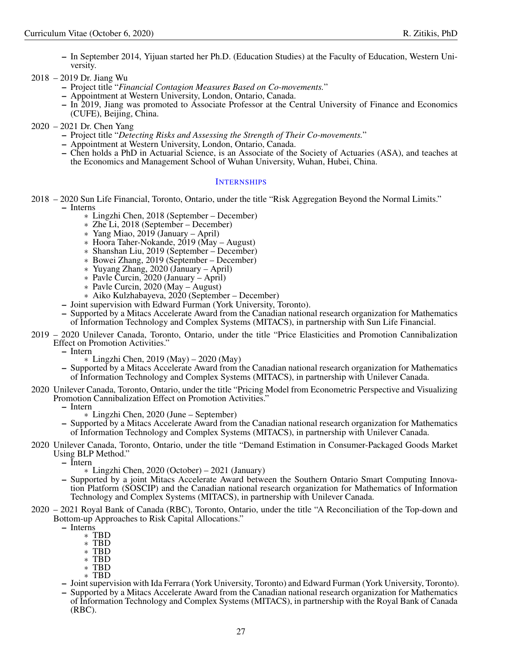- In September 2014, Yijuan started her Ph.D. (Education Studies) at the Faculty of Education, Western University.
- 2018 2019 Dr. Jiang Wu
	- Project title "*Financial Contagion Measures Based on Co-movements.*"
	- Appointment at Western University, London, Ontario, Canada.
	- In 2019, Jiang was promoted to Associate Professor at the Central University of Finance and Economics (CUFE), Beijing, China.
- 2020 2021 Dr. Chen Yang
	- Project title "*Detecting Risks and Assessing the Strength of Their Co-movements.*"
	- Appointment at Western University, London, Ontario, Canada.
	- Chen holds a PhD in Actuarial Science, is an Associate of the Society of Actuaries (ASA), and teaches at the Economics and Management School of Wuhan University, Wuhan, Hubei, China.

# <span id="page-26-0"></span>**INTERNSHIPS**

- 2018 2020 Sun Life Financial, Toronto, Ontario, under the title "Risk Aggregation Beyond the Normal Limits." – Interns
	- ∗ Lingzhi Chen, 2018 (September December)
	- ∗ Zhe Li, 2018 (September December)
	- ∗ Yang Miao, 2019 (January April)
	- ∗ Hoora Taher-Nokande, 2019 (May August)
	- ∗ Shanshan Liu, 2019 (September December)
	- ∗ Bowei Zhang, 2019 (September December)
	- ∗ Yuyang Zhang, 2020 (January April)
	- ∗ Pavle Curcin, 2020 (January April)
	- ∗ Pavle Curcin, 2020 (May August)
	- ∗ Aiko Kulzhabayeva, 2020 (September December)
	- Joint supervision with Edward Furman (York University, Toronto).
	- Supported by a Mitacs Accelerate Award from the Canadian national research organization for Mathematics of Information Technology and Complex Systems (MITACS), in partnership with Sun Life Financial.
- 2019 2020 Unilever Canada, Toronto, Ontario, under the title "Price Elasticities and Promotion Cannibalization Effect on Promotion Activities."
	- Intern
		- ∗ Lingzhi Chen, 2019 (May) 2020 (May)
	- Supported by a Mitacs Accelerate Award from the Canadian national research organization for Mathematics of Information Technology and Complex Systems (MITACS), in partnership with Unilever Canada.
- 2020 Unilever Canada, Toronto, Ontario, under the title "Pricing Model from Econometric Perspective and Visualizing Promotion Cannibalization Effect on Promotion Activities."
	- Intern
		- ∗ Lingzhi Chen, 2020 (June September)
	- Supported by a Mitacs Accelerate Award from the Canadian national research organization for Mathematics of Information Technology and Complex Systems (MITACS), in partnership with Unilever Canada.
- 2020 Unilever Canada, Toronto, Ontario, under the title "Demand Estimation in Consumer-Packaged Goods Market Using BLP Method."
	- Intern
		- ∗ Lingzhi Chen, 2020 (October) 2021 (January)
	- Supported by a joint Mitacs Accelerate Award between the Southern Ontario Smart Computing Innovation Platform (SOSCIP) and the Canadian national research organization for Mathematics of Information Technology and Complex Systems (MITACS), in partnership with Unilever Canada.
- 2020 2021 Royal Bank of Canada (RBC), Toronto, Ontario, under the title "A Reconciliation of the Top-down and Bottom-up Approaches to Risk Capital Allocations."
	- Interns
		- ∗ TBD
		- ∗ TBD
		- ∗ TBD ∗ TBD
		- ∗ TBD
		- ∗ TBD
	- Joint supervision with Ida Ferrara (York University, Toronto) and Edward Furman (York University, Toronto).
	- Supported by a Mitacs Accelerate Award from the Canadian national research organization for Mathematics of Information Technology and Complex Systems (MITACS), in partnership with the Royal Bank of Canada (RBC).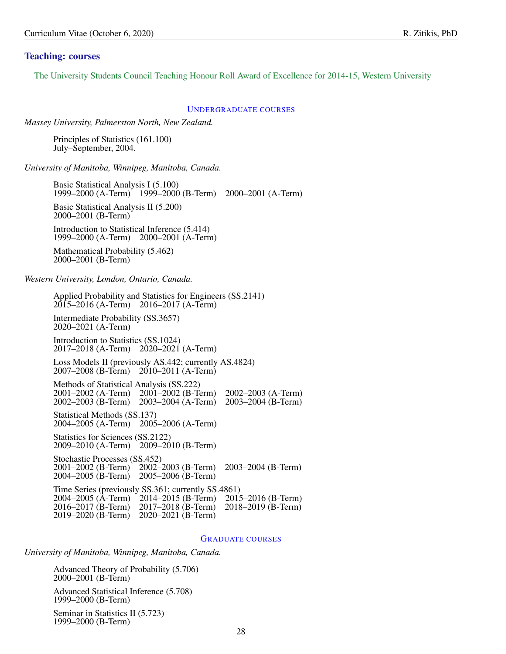# <span id="page-27-0"></span>Teaching: courses

The University Students Council Teaching Honour Roll Award of Excellence for 2014-15, Western University

#### <span id="page-27-1"></span>UNDERGRADUATE COURSES

*Massey University, Palmerston North, New Zealand.*

Principles of Statistics (161.100) July–September, 2004.

*University of Manitoba, Winnipeg, Manitoba, Canada.*

Basic Statistical Analysis I (5.100) 1999–2000 (A-Term) 1999–2000 (B-Term) 2000–2001 (A-Term) Basic Statistical Analysis II (5.200) 2000–2001 (B-Term) Introduction to Statistical Inference (5.414) 1999–2000 (A-Term) 2000–2001 (A-Term)

Mathematical Probability (5.462) 2000–2001 (B-Term)

*Western University, London, Ontario, Canada.*

Applied Probability and Statistics for Engineers (SS.2141) 2015–2016 (A-Term) 2016–2017 (A-Term) Intermediate Probability (SS.3657) 2020–2021 (A-Term) Introduction to Statistics (SS.1024) 2017–2018 (A-Term) 2020–2021 (A-Term) Loss Models II (previously AS.442; currently AS.4824) 2007–2008 (B-Term) 2010–2011 (A-Term) Methods of Statistical Analysis (SS.222) 2001–2002 (A-Term) 2001–2002 (B-Term) 2002–2003 (A-Term) 2002–2003 (B-Term) 2003–2004 (A-Term) 2003–2004 (B-Term) Statistical Methods (SS.137) 2004–2005 (A-Term) 2005–2006 (A-Term) Statistics for Sciences (SS.2122) 2009–2010 (A-Term) 2009–2010 (B-Term) Stochastic Processes (SS.452) 2001–2002 (B-Term) 2002–2003 (B-Term) 2003–2004 (B-Term) 2004–2005 (B-Term) 2005–2006 (B-Term) Time Series (previously SS.361; currently SS.4861) 2004–2005 (A-Term) 2014–2015 (B-Term) 2015–2016 (B-Term) 2016–2017 (B-Term) 2017–2018 (B-Term) 2018–2019 (B-Term) 2019–2020 (B-Term) 2020–2021 (B-Term)

#### <span id="page-27-2"></span>GRADUATE COURSES

*University of Manitoba, Winnipeg, Manitoba, Canada.*

Advanced Theory of Probability (5.706) 2000–2001 (B-Term)

Advanced Statistical Inference (5.708) 1999–2000 (B-Term)

Seminar in Statistics II (5.723) 1999–2000 (B-Term)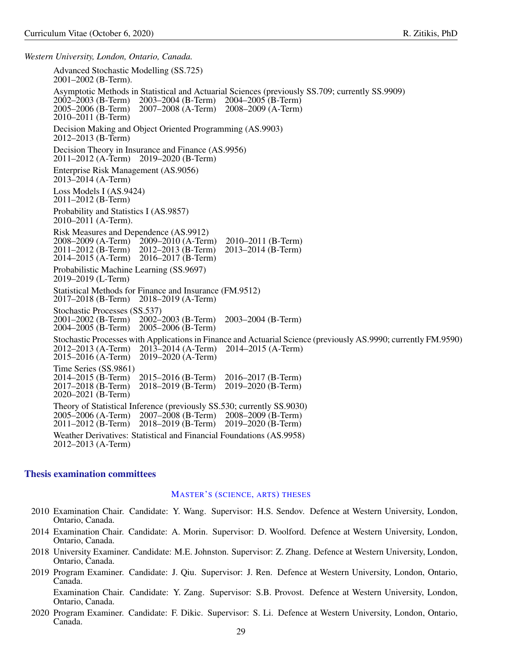*Western University, London, Ontario, Canada.*

Advanced Stochastic Modelling (SS.725) 2001–2002 (B-Term). Asymptotic Methods in Statistical and Actuarial Sciences (previously SS.709; currently SS.9909)<br>2002–2003 (B-Term) 2003–2004 (B-Term) 2004–2005 (B-Term)<br>2005–2006 (B-Term) 2007–2008 (A-Term) 2008–2009 (A-Term) 2002–2003 (B-Term) 2003–2004 (B-Term) 2004–2005 (B-Term) 2005–2006 (B-Term) 2007–2008 (A-Term) 2008–2009 (A-Term) 2010–2011 (B-Term) Decision Making and Object Oriented Programming (AS.9903) 2012–2013 (B-Term) Decision Theory in Insurance and Finance (AS.9956) 2011–2012 (A-Term) 2019–2020 (B-Term) Enterprise Risk Management (AS.9056) 2013–2014 (A-Term) Loss Models I (AS.9424) 2011–2012 (B-Term) Probability and Statistics I (AS.9857) 2010–2011 (A-Term). Risk Measures and Dependence (AS.9912)<br>2008–2009 (A-Term) 2009–2010 (A-Tern 2008–2009 (A-Term) 2009–2010 (A-Term) 2010–2011 (B-Term) 2012–2013 (B-Term)<br>2016–2017 (B-Term) 2014–2015 (A-Term) Probabilistic Machine Learning (SS.9697) 2019–2019 (L-Term) Statistical Methods for Finance and Insurance (FM.9512) 2017–2018 (B-Term) 2018–2019 (A-Term) Stochastic Processes (SS.537)<br>2001–2002 (B-Term) 2002–2003 (B-Term) 2001–2002 (B-Term) 2002–2003 (B-Term) 2003–2004 (B-Term) 2004–2005 (B-Term) 2005–2006 (B-Term) Stochastic Processes with Applications in Finance and Actuarial Science (previously AS.9990; currently FM.9590)<br>2012–2013 (A-Term) 2013–2014 (A-Term) 2014–2015 (A-Term) 2012–2013 (A-Term) 2013–2014 (A-Term) 2014–2015 (A-Term) 2015–2016 (A-Term) 2019–2020 (A-Term) Time Series (SS.9861)<br>2014–2015 (B-Term) 2014–2015 (B-Term) 2015–2016 (B-Term) 2016–2017 (B-Term) 2017–2018 (B-Term) 2018–2019 (B-Term) 2019–2020 (B-Term) 2020–2021 (B-Term) Theory of Statistical Inference (previously SS.530; currently SS.9030) 2005–2006 (A-Term) 2007–2008 (B-Term) 2008–2009 (B-Term) 2011–2012 (B-Term) 2018–2019 (B-Term) 2019–2020 (B-Term) Weather Derivatives: Statistical and Financial Foundations (AS.9958) 2012–2013 (A-Term)

# <span id="page-28-0"></span>Thesis examination committees

### <span id="page-28-1"></span>MASTER'S (SCIENCE, ARTS) THESES

- 2010 Examination Chair. Candidate: Y. Wang. Supervisor: H.S. Sendov. Defence at Western University, London, Ontario, Canada.
- 2014 Examination Chair. Candidate: A. Morin. Supervisor: D. Woolford. Defence at Western University, London, Ontario, Canada.
- 2018 University Examiner. Candidate: M.E. Johnston. Supervisor: Z. Zhang. Defence at Western University, London, Ontario, Canada.
- 2019 Program Examiner. Candidate: J. Qiu. Supervisor: J. Ren. Defence at Western University, London, Ontario, Canada.

Examination Chair. Candidate: Y. Zang. Supervisor: S.B. Provost. Defence at Western University, London, Ontario, Canada.

2020 Program Examiner. Candidate: F. Dikic. Supervisor: S. Li. Defence at Western University, London, Ontario, Canada.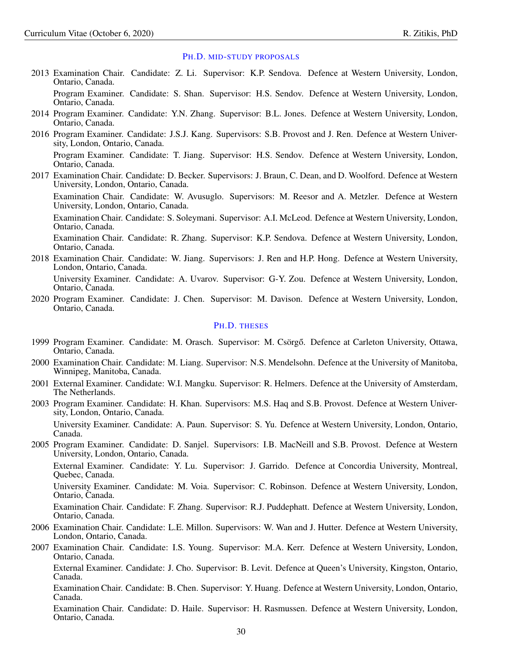#### <span id="page-29-0"></span>PH.D. MID-STUDY PROPOSALS

- 2013 Examination Chair. Candidate: Z. Li. Supervisor: K.P. Sendova. Defence at Western University, London, Ontario, Canada. Program Examiner. Candidate: S. Shan. Supervisor: H.S. Sendov. Defence at Western University, London, Ontario, Canada.
- 2014 Program Examiner. Candidate: Y.N. Zhang. Supervisor: B.L. Jones. Defence at Western University, London, Ontario, Canada.
- 2016 Program Examiner. Candidate: J.S.J. Kang. Supervisors: S.B. Provost and J. Ren. Defence at Western University, London, Ontario, Canada. Program Examiner. Candidate: T. Jiang. Supervisor: H.S. Sendov. Defence at Western University, London, Ontario, Canada.
- 2017 Examination Chair. Candidate: D. Becker. Supervisors: J. Braun, C. Dean, and D. Woolford. Defence at Western University, London, Ontario, Canada.

Examination Chair. Candidate: W. Avusuglo. Supervisors: M. Reesor and A. Metzler. Defence at Western University, London, Ontario, Canada.

Examination Chair. Candidate: S. Soleymani. Supervisor: A.I. McLeod. Defence at Western University, London, Ontario, Canada.

Examination Chair. Candidate: R. Zhang. Supervisor: K.P. Sendova. Defence at Western University, London, Ontario, Canada.

2018 Examination Chair. Candidate: W. Jiang. Supervisors: J. Ren and H.P. Hong. Defence at Western University, London, Ontario, Canada.

University Examiner. Candidate: A. Uvarov. Supervisor: G-Y. Zou. Defence at Western University, London, Ontario, Canada.

2020 Program Examiner. Candidate: J. Chen. Supervisor: M. Davison. Defence at Western University, London, Ontario, Canada.

### <span id="page-29-1"></span>PH.D. THESES

- 1999 Program Examiner. Candidate: M. Orasch. Supervisor: M. Csörgő. Defence at Carleton University, Ottawa, Ontario, Canada.
- 2000 Examination Chair. Candidate: M. Liang. Supervisor: N.S. Mendelsohn. Defence at the University of Manitoba, Winnipeg, Manitoba, Canada.
- 2001 External Examiner. Candidate: W.I. Mangku. Supervisor: R. Helmers. Defence at the University of Amsterdam, The Netherlands.
- 2003 Program Examiner. Candidate: H. Khan. Supervisors: M.S. Haq and S.B. Provost. Defence at Western University, London, Ontario, Canada. University Examiner. Candidate: A. Paun. Supervisor: S. Yu. Defence at Western University, London, Ontario, Canada.
- 2005 Program Examiner. Candidate: D. Sanjel. Supervisors: I.B. MacNeill and S.B. Provost. Defence at Western University, London, Ontario, Canada.

External Examiner. Candidate: Y. Lu. Supervisor: J. Garrido. Defence at Concordia University, Montreal, Quebec, Canada.

University Examiner. Candidate: M. Voia. Supervisor: C. Robinson. Defence at Western University, London, Ontario, Canada.

Examination Chair. Candidate: F. Zhang. Supervisor: R.J. Puddephatt. Defence at Western University, London, Ontario, Canada.

- 2006 Examination Chair. Candidate: L.E. Millon. Supervisors: W. Wan and J. Hutter. Defence at Western University, London, Ontario, Canada.
- 2007 Examination Chair. Candidate: I.S. Young. Supervisor: M.A. Kerr. Defence at Western University, London, Ontario, Canada. External Examiner. Candidate: J. Cho. Supervisor: B. Levit. Defence at Queen's University, Kingston, Ontario, Canada. Examination Chair. Candidate: B. Chen. Supervisor: Y. Huang. Defence at Western University, London, Ontario, Canada.

Examination Chair. Candidate: D. Haile. Supervisor: H. Rasmussen. Defence at Western University, London, Ontario, Canada.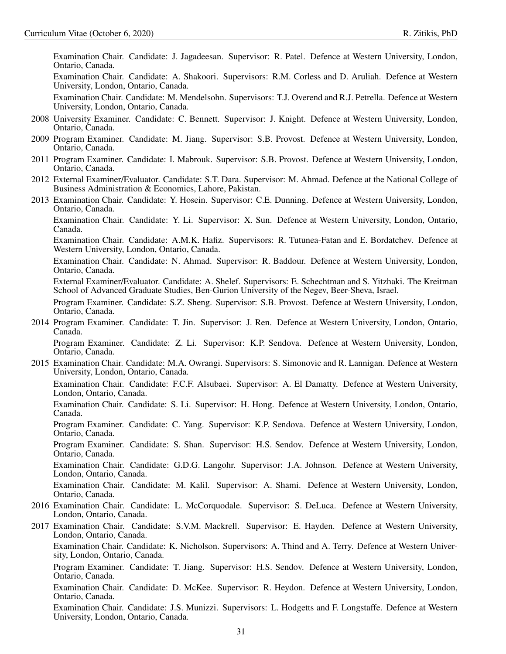Examination Chair. Candidate: J. Jagadeesan. Supervisor: R. Patel. Defence at Western University, London, Ontario, Canada. Examination Chair. Candidate: A. Shakoori. Supervisors: R.M. Corless and D. Aruliah. Defence at Western University, London, Ontario, Canada.

Examination Chair. Candidate: M. Mendelsohn. Supervisors: T.J. Overend and R.J. Petrella. Defence at Western University, London, Ontario, Canada.

- 2008 University Examiner. Candidate: C. Bennett. Supervisor: J. Knight. Defence at Western University, London, Ontario, Canada.
- 2009 Program Examiner. Candidate: M. Jiang. Supervisor: S.B. Provost. Defence at Western University, London, Ontario, Canada.
- 2011 Program Examiner. Candidate: I. Mabrouk. Supervisor: S.B. Provost. Defence at Western University, London, Ontario, Canada.
- 2012 External Examiner/Evaluator. Candidate: S.T. Dara. Supervisor: M. Ahmad. Defence at the National College of Business Administration & Economics, Lahore, Pakistan.
- 2013 Examination Chair. Candidate: Y. Hosein. Supervisor: C.E. Dunning. Defence at Western University, London, Ontario, Canada.

Examination Chair. Candidate: Y. Li. Supervisor: X. Sun. Defence at Western University, London, Ontario, Canada.

Examination Chair. Candidate: A.M.K. Hafiz. Supervisors: R. Tutunea-Fatan and E. Bordatchev. Defence at Western University, London, Ontario, Canada.

Examination Chair. Candidate: N. Ahmad. Supervisor: R. Baddour. Defence at Western University, London, Ontario, Canada.

External Examiner/Evaluator. Candidate: A. Shelef. Supervisors: E. Schechtman and S. Yitzhaki. The Kreitman School of Advanced Graduate Studies, Ben-Gurion University of the Negev, Beer-Sheva, Israel.

Program Examiner. Candidate: S.Z. Sheng. Supervisor: S.B. Provost. Defence at Western University, London, Ontario, Canada.

2014 Program Examiner. Candidate: T. Jin. Supervisor: J. Ren. Defence at Western University, London, Ontario, Canada.

Program Examiner. Candidate: Z. Li. Supervisor: K.P. Sendova. Defence at Western University, London, Ontario, Canada.

2015 Examination Chair. Candidate: M.A. Owrangi. Supervisors: S. Simonovic and R. Lannigan. Defence at Western University, London, Ontario, Canada.

Examination Chair. Candidate: F.C.F. Alsubaei. Supervisor: A. El Damatty. Defence at Western University, London, Ontario, Canada.

Examination Chair. Candidate: S. Li. Supervisor: H. Hong. Defence at Western University, London, Ontario, Canada.

Program Examiner. Candidate: C. Yang. Supervisor: K.P. Sendova. Defence at Western University, London, Ontario, Canada.

Program Examiner. Candidate: S. Shan. Supervisor: H.S. Sendov. Defence at Western University, London, Ontario, Canada.

Examination Chair. Candidate: G.D.G. Langohr. Supervisor: J.A. Johnson. Defence at Western University, London, Ontario, Canada.

Examination Chair. Candidate: M. Kalil. Supervisor: A. Shami. Defence at Western University, London, Ontario, Canada.

- 2016 Examination Chair. Candidate: L. McCorquodale. Supervisor: S. DeLuca. Defence at Western University, London, Ontario, Canada.
- 2017 Examination Chair. Candidate: S.V.M. Mackrell. Supervisor: E. Hayden. Defence at Western University, London, Ontario, Canada.

Examination Chair. Candidate: K. Nicholson. Supervisors: A. Thind and A. Terry. Defence at Western University, London, Ontario, Canada.

Program Examiner. Candidate: T. Jiang. Supervisor: H.S. Sendov. Defence at Western University, London, Ontario, Canada.

Examination Chair. Candidate: D. McKee. Supervisor: R. Heydon. Defence at Western University, London, Ontario, Canada.

Examination Chair. Candidate: J.S. Munizzi. Supervisors: L. Hodgetts and F. Longstaffe. Defence at Western University, London, Ontario, Canada.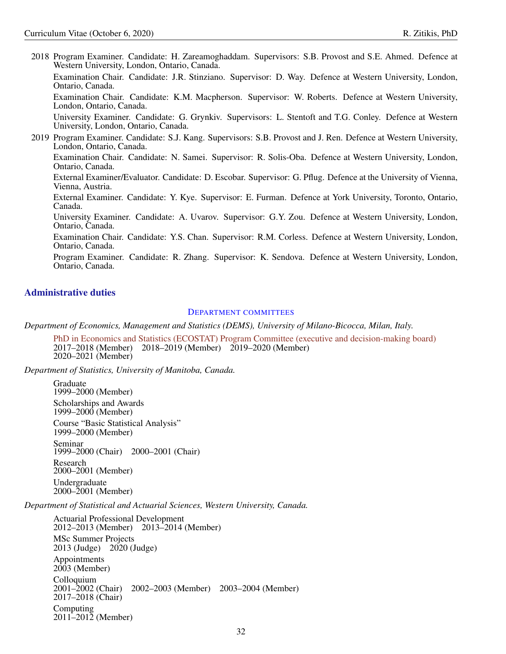2018 Program Examiner. Candidate: H. Zareamoghaddam. Supervisors: S.B. Provost and S.E. Ahmed. Defence at Western University, London, Ontario, Canada. Examination Chair. Candidate: J.R. Stinziano. Supervisor: D. Way. Defence at Western University, London, Ontario, Canada. Examination Chair. Candidate: K.M. Macpherson. Supervisor: W. Roberts. Defence at Western University, London, Ontario, Canada. University Examiner. Candidate: G. Grynkiv. Supervisors: L. Stentoft and T.G. Conley. Defence at Western University, London, Ontario, Canada. 2019 Program Examiner. Candidate: S.J. Kang. Supervisors: S.B. Provost and J. Ren. Defence at Western University, London, Ontario, Canada. Examination Chair. Candidate: N. Samei. Supervisor: R. Solis-Oba. Defence at Western University, London, Ontario, Canada. External Examiner/Evaluator. Candidate: D. Escobar. Supervisor: G. Pflug. Defence at the University of Vienna, Vienna, Austria. External Examiner. Candidate: Y. Kye. Supervisor: E. Furman. Defence at York University, Toronto, Ontario, Canada. University Examiner. Candidate: A. Uvarov. Supervisor: G.Y. Zou. Defence at Western University, London, Ontario, Canada. Examination Chair. Candidate: Y.S. Chan. Supervisor: R.M. Corless. Defence at Western University, London, Ontario, Canada. Program Examiner. Candidate: R. Zhang. Supervisor: K. Sendova. Defence at Western University, London, Ontario, Canada.

# <span id="page-31-0"></span>Administrative duties

#### <span id="page-31-1"></span>DEPARTMENT COMMITTEES

*Department of Economics, Management and Statistics (DEMS), University of Milano-Bicocca, Milan, Italy.*

[PhD in Economics and Statistics \(ECOSTAT\) Program Committee \(executive and decision-making board\)](https://www.dems.unimib.it/en/research/phd-programme) 2017–2018 (Member) 2018–2019 (Member) 2019–2020 (Member) 2020–2021 (Member)

*Department of Statistics, University of Manitoba, Canada.*

Graduate 1999–2000 (Member) Scholarships and Awards 1999–2000 (Member) Course "Basic Statistical Analysis" 1999–2000 (Member) Seminar 1999–2000 (Chair) 2000–2001 (Chair) Research 2000–2001 (Member) Undergraduate 2000–2001 (Member)

*Department of Statistical and Actuarial Sciences, Western University, Canada.*

Actuarial Professional Development 2012–2013 (Member) 2013–2014 (Member) MSc Summer Projects 2013 (Judge) 2020 (Judge) Appointments 2003 (Member) Colloquium 2001–2002 (Chair) 2002–2003 (Member) 2003–2004 (Member) 2017–2018 (Chair) Computing 2011–2012 (Member)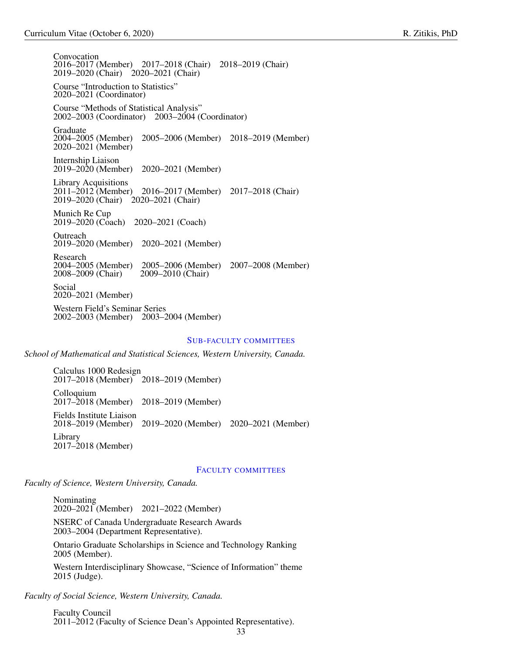Convocation 2016–2017 (Member) 2017–2018 (Chair) 2018–2019 (Chair) 2019–2020 (Chair) 2020–2021 (Chair) Course "Introduction to Statistics" 2020–2021 (Coordinator) Course "Methods of Statistical Analysis" 2002–2003 (Coordinator) 2003–2004 (Coordinator) Graduate<br>2004–2005 (Member) 2004–2005 (Member) 2005–2006 (Member) 2018–2019 (Member) 2020–2021 (Member) Internship Liaison 2019–2020 (Member) 2020–2021 (Member) Library Acquisitions<br>2011–2012 (Member) 2016–2017 (Member) 2017–2018 (Chair) 2019–2020 (Chair) 2020–2021 (Chair) Munich Re Cup 2019–2020 (Coach) 2020–2021 (Coach) Outreach 2019–2020 (Member) 2020–2021 (Member) Research<br>2004–2005 (Member) 2004–2005 (Member) 2005–2006 (Member) 2007–2008 (Member) 2008–2009 (Chair) 2009–2010 (Chair) Social 2020–2021 (Member)

Western Field's Seminar Series 2002–2003 (Member) 2003–2004 (Member)

### <span id="page-32-0"></span>SUB-FACULTY COMMITTEES

*School of Mathematical and Statistical Sciences, Western University, Canada.*

Calculus 1000 Redesign 2017–2018 (Member) 2018–2019 (Member) Colloquium 2017–2018 (Member) 2018–2019 (Member) Fields Institute Liaison<br>2018–2019 (Member) 2018–2019 (Member) 2019–2020 (Member) 2020–2021 (Member) Library 2017–2018 (Member)

### <span id="page-32-1"></span>FACULTY COMMITTEES

*Faculty of Science, Western University, Canada.*

Nominating 2020–2021 (Member) 2021–2022 (Member)

NSERC of Canada Undergraduate Research Awards 2003–2004 (Department Representative).

Ontario Graduate Scholarships in Science and Technology Ranking 2005 (Member).

Western Interdisciplinary Showcase, "Science of Information" theme 2015 (Judge).

*Faculty of Social Science, Western University, Canada.*

Faculty Council 2011–2012 (Faculty of Science Dean's Appointed Representative).